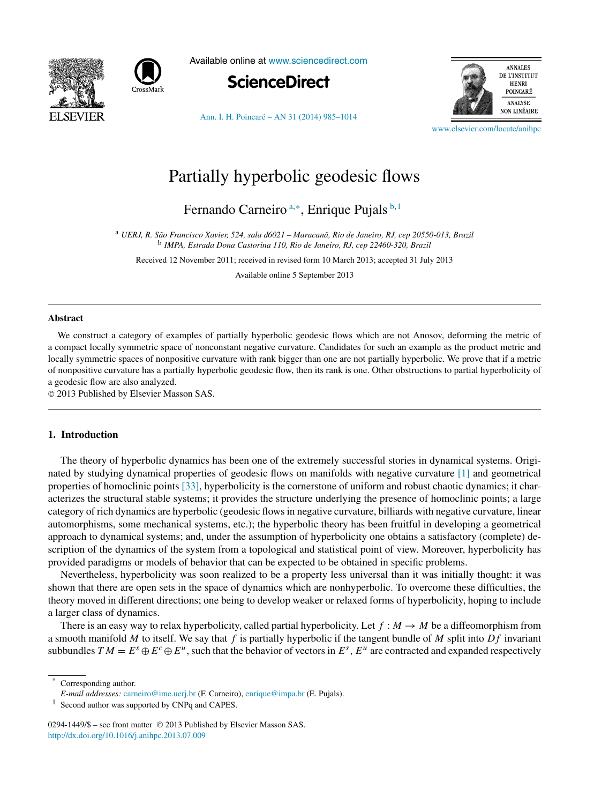<span id="page-0-0"></span>



Available online at [www.sciencedirect.com](http://www.sciencedirect.com)



[Ann. I. H. Poincaré – AN 31 \(2014\) 985–1014](http://dx.doi.org/10.1016/j.anihpc.2013.07.009)



[www.elsevier.com/locate/anihpc](http://www.elsevier.com/locate/anihpc)

# Partially hyperbolic geodesic flows

Fernando Carneiro <sup>a</sup>*,*<sup>∗</sup> , Enrique Pujals <sup>b</sup>*,*<sup>1</sup>

<sup>a</sup> *UERJ, R. São Francisco Xavier, 524, sala d6021 – Maracanã, Rio de Janeiro, RJ, cep 20550-013, Brazil* <sup>b</sup> *IMPA, Estrada Dona Castorina 110, Rio de Janeiro, RJ, cep 22460-320, Brazil*

Received 12 November 2011; received in revised form 10 March 2013; accepted 31 July 2013

Available online 5 September 2013

#### **Abstract**

We construct a category of examples of partially hyperbolic geodesic flows which are not Anosov, deforming the metric of a compact locally symmetric space of nonconstant negative curvature. Candidates for such an example as the product metric and locally symmetric spaces of nonpositive curvature with rank bigger than one are not partially hyperbolic. We prove that if a metric of nonpositive curvature has a partially hyperbolic geodesic flow, then its rank is one. Other obstructions to partial hyperbolicity of a geodesic flow are also analyzed.

© 2013 Published by Elsevier Masson SAS.

# **1. Introduction**

The theory of hyperbolic dynamics has been one of the extremely successful stories in dynamical systems. Originated by studying dynamical properties of geodesic flows on manifolds with negative curvature [\[1\]](#page-28-0) and geometrical properties of homoclinic points [\[33\],](#page-29-0) hyperbolicity is the cornerstone of uniform and robust chaotic dynamics; it characterizes the structural stable systems; it provides the structure underlying the presence of homoclinic points; a large category of rich dynamics are hyperbolic (geodesic flows in negative curvature, billiards with negative curvature, linear automorphisms, some mechanical systems, etc.); the hyperbolic theory has been fruitful in developing a geometrical approach to dynamical systems; and, under the assumption of hyperbolicity one obtains a satisfactory (complete) description of the dynamics of the system from a topological and statistical point of view. Moreover, hyperbolicity has provided paradigms or models of behavior that can be expected to be obtained in specific problems.

Nevertheless, hyperbolicity was soon realized to be a property less universal than it was initially thought: it was shown that there are open sets in the space of dynamics which are nonhyperbolic. To overcome these difficulties, the theory moved in different directions; one being to develop weaker or relaxed forms of hyperbolicity, hoping to include a larger class of dynamics.

There is an easy way to relax hyperbolicity, called partial hyperbolicity. Let  $f : M \to M$  be a diffeomorphism from a smooth manifold *M* to itself. We say that *f* is partially hyperbolic if the tangent bundle of *M* split into *Df* invariant subbundles  $TM = E^s \oplus E^c \oplus E^u$ , such that the behavior of vectors in  $E^s$ ,  $E^u$  are contracted and expanded respectively

Corresponding author.

0294-1449/\$ – see front matter © 2013 Published by Elsevier Masson SAS. <http://dx.doi.org/10.1016/j.anihpc.2013.07.009>

*E-mail addresses:* [carneiro@ime.uerj.br](mailto:carneiro@ime.uerj.br) (F. Carneiro), [enrique@impa.br](mailto:enrique@impa.br) (E. Pujals).

<sup>1</sup> Second author was supported by CNPq and CAPES.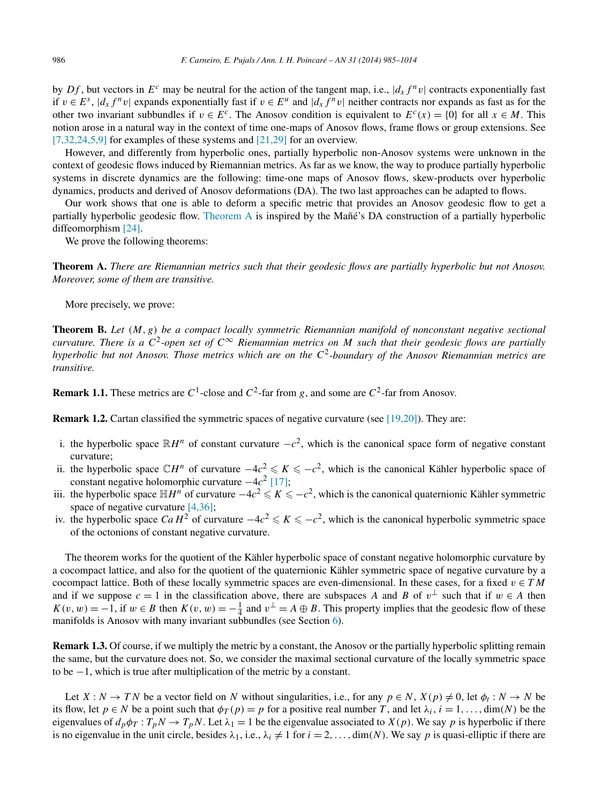<span id="page-1-0"></span>by  $Df$ , but vectors in  $E^c$  may be neutral for the action of the tangent map, i.e.,  $|d_x f^n v|$  contracts exponentially fast if *v* ∈ *E*<sup>*s*</sup>,  $|d_x f^n v|$  expands exponentially fast if  $v ∈ E^u$  and  $|d_x f^n v|$  neither contracts nor expands as fast as for the other two invariant subbundles if  $v \in E^c$ . The Anosov condition is equivalent to  $E^c(x) = \{0\}$  for all  $x \in M$ . This notion arose in a natural way in the context of time one-maps of Anosov flows, frame flows or group extensions. See  $[7,32,24,5,9]$  for examples of these systems and  $[21,29]$  for an overview.

However, and differently from hyperbolic ones, partially hyperbolic non-Anosov systems were unknown in the context of geodesic flows induced by Riemannian metrics. As far as we know, the way to produce partially hyperbolic systems in discrete dynamics are the following: time-one maps of Anosov flows, skew-products over hyperbolic dynamics, products and derived of Anosov deformations (DA). The two last approaches can be adapted to flows.

Our work shows that one is able to deform a specific metric that provides an Anosov geodesic flow to get a partially hyperbolic geodesic flow. Theorem A is inspired by the Mañé's DA construction of a partially hyperbolic diffeomorphism [\[24\].](#page-28-0)

We prove the following theorems:

**Theorem A.** *There are Riemannian metrics such that their geodesic flows are partially hyperbolic but not Anosov. Moreover, some of them are transitive.*

More precisely, we prove:

**Theorem B.** *Let (M,g) be a compact locally symmetric Riemannian manifold of nonconstant negative sectional curvature. There is a*  $C^2$ *-open set of*  $C^\infty$  *Riemannian metrics on M such that their geodesic flows are partially hyperbolic but not Anosov. Those metrics which are on the C*2*-boundary of the Anosov Riemannian metrics are transitive.*

**Remark 1.1.** These metrics are  $C^1$ -close and  $C^2$ -far from *g*, and some are  $C^2$ -far from Anosov.

**Remark 1.2.** Cartan classified the symmetric spaces of negative curvature (see [\[19,20\]\)](#page-28-0). They are:

- i. the hyperbolic space  $\mathbb{R}H^n$  of constant curvature  $-c^2$ , which is the canonical space form of negative constant curvature;
- ii. the hyperbolic space  $\mathbb{C}H^n$  of curvature  $-4c^2 \leqslant K \leqslant -c^2$ , which is the canonical Kähler hyperbolic space of constant negative holomorphic curvature −4*c*<sup>2</sup> [\[17\];](#page-28-0)
- iii. the hyperbolic space  $\mathbb{H}H^n$  of curvature  $-4c^2 \leqslant K \leqslant -c^2$ , which is the canonical quaternionic Kähler symmetric space of negative curvature [\[4,36\];](#page-28-0)
- iv. the hyperbolic space  $CaH^2$  of curvature  $-4c^2 \leqslant K \leqslant -c^2$ , which is the canonical hyperbolic symmetric space of the octonions of constant negative curvature.

The theorem works for the quotient of the Kähler hyperbolic space of constant negative holomorphic curvature by a cocompact lattice, and also for the quotient of the quaternionic Kähler symmetric space of negative curvature by a cocompact lattice. Both of these locally symmetric spaces are even-dimensional. In these cases, for a fixed  $v \in TM$ and if we suppose  $c = 1$  in the classification above, there are subspaces *A* and *B* of  $v^{\perp}$  such that if  $w \in A$  then  $K(v, w) = -1$ , if  $w \in B$  then  $K(v, w) = -\frac{1}{4}$  and  $v^{\perp} = A \oplus B$ . This property implies that the geodesic flow of these manifolds is Anosov with many invariant subbundles (see Section [6\)](#page-24-0).

**Remark 1.3.** Of course, if we multiply the metric by a constant, the Anosov or the partially hyperbolic splitting remain the same, but the curvature does not. So, we consider the maximal sectional curvature of the locally symmetric space to be −1, which is true after multiplication of the metric by a constant.

Let  $X : N \to TN$  be a vector field on *N* without singularities, i.e., for any  $p \in N$ ,  $X(p) \neq 0$ , let  $\phi_t : N \to N$  be its flow, let  $p \in N$  be a point such that  $\phi_T(p) = p$  for a positive real number T, and let  $\lambda_i$ ,  $i = 1, \ldots, \text{dim}(N)$  be the eigenvalues of  $d_p \phi_T : T_p N \to T_p N$ . Let  $\lambda_1 = 1$  be the eigenvalue associated to  $X(p)$ . We say p is hyperbolic if there is no eigenvalue in the unit circle, besides  $\lambda_1$ , i.e.,  $\lambda_i \neq 1$  for  $i = 2, \ldots$ , dim(N). We say p is quasi-elliptic if there are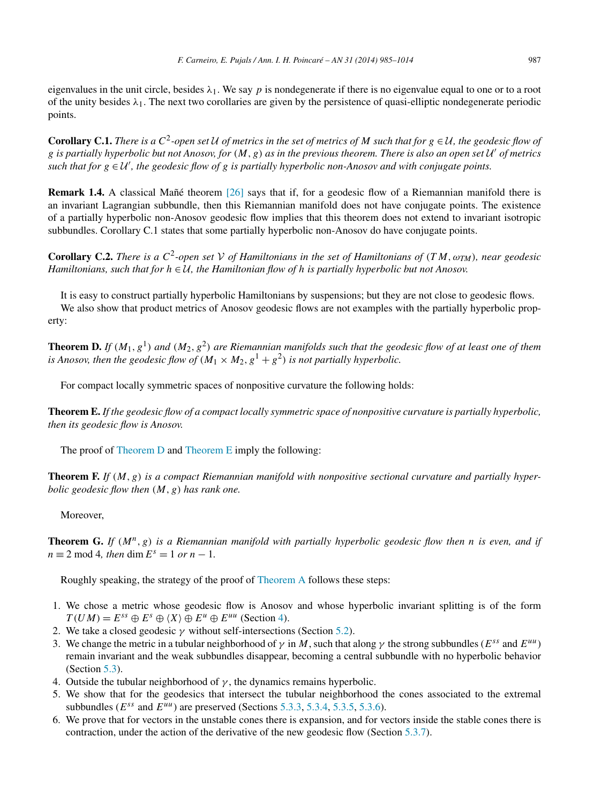<span id="page-2-0"></span>eigenvalues in the unit circle, besides  $\lambda_1$ . We say p is nondegenerate if there is no eigenvalue equal to one or to a root of the unity besides *λ*1. The next two corollaries are given by the persistence of quasi-elliptic nondegenerate periodic points.

**Corollary C.1.** *There is a*  $C^2$ -open set U of metrics in the set of metrics of M such that for  $g \in U$ , the geodesic flow of *<sup>g</sup> is partially hyperbolic but not Anosov, for (M,g) as in the previous theorem. There is also an open set* <sup>U</sup> *of metrics*  $such$  that for  $g \in \mathcal{U}'$ , the geodesic flow of  $g$  is partially hyperbolic non-Anosov and with conjugate points.

**Remark 1.4.** A classical Mañé theorem [\[26\]](#page-29-0) says that if, for a geodesic flow of a Riemannian manifold there is an invariant Lagrangian subbundle, then this Riemannian manifold does not have conjugate points. The existence of a partially hyperbolic non-Anosov geodesic flow implies that this theorem does not extend to invariant isotropic subbundles. Corollary C.1 states that some partially hyperbolic non-Anosov do have conjugate points.

**Corollary C.2.** *There is a*  $C^2$ -open set V of Hamiltonians in the set of Hamiltonians of  $(TM, \omega_{TM})$ *, near geodesic Hamiltonians, such that for*  $h \in \mathcal{U}$ , the Hamiltonian flow of h is partially hyperbolic but not Anosov.

It is easy to construct partially hyperbolic Hamiltonians by suspensions; but they are not close to geodesic flows. We also show that product metrics of Anosov geodesic flows are not examples with the partially hyperbolic property:

**Theorem D.** *If*  $(M_1, g^1)$  *and*  $(M_2, g^2)$  *are Riemannian manifolds such that the geodesic flow of at least one of them is Anosov, then the geodesic flow of*  $(M_1 \times M_2, g^1 + g^2)$  *is not partially hyperbolic.* 

For compact locally symmetric spaces of nonpositive curvature the following holds:

**Theorem E.** *If the geodesic flow of a compact locally symmetric space of nonpositive curvature is partially hyperbolic, then its geodesic flow is Anosov.*

The proof of Theorem D and Theorem E imply the following:

**Theorem F.** *If (M,g) is a compact Riemannian manifold with nonpositive sectional curvature and partially hyperbolic geodesic flow then (M,g) has rank one.*

Moreover,

**Theorem G.** *If (Mn,g) is a Riemannian manifold with partially hyperbolic geodesic flow then n is even, and if*  $n \equiv 2 \mod 4$ , then dim  $E^s = 1$  or  $n - 1$ .

Roughly speaking, the strategy of the proof of [Theorem](#page-1-0) A follows these steps:

- 1. We chose a metric whose geodesic flow is Anosov and whose hyperbolic invariant splitting is of the form  $T(UM) = E^{ss} \oplus E^s \oplus \langle X \rangle \oplus E^u \oplus E^{uu}$  (Section [4\)](#page-9-0).
- 2. We take a closed geodesic *γ* without self-intersections (Section [5.2\)](#page-14-0).
- 3. We change the metric in a tubular neighborhood of  $\gamma$  in *M*, such that along  $\gamma$  the strong subbundles (*E*<sup>*ss*</sup> and *E*<sup>*uu*</sup>) remain invariant and the weak subbundles disappear, becoming a central subbundle with no hyperbolic behavior (Section [5.3\)](#page-17-0).
- 4. Outside the tubular neighborhood of *γ* , the dynamics remains hyperbolic.
- 5. We show that for the geodesics that intersect the tubular neighborhood the cones associated to the extremal subbundles ( $E^{ss}$  and  $E^{uu}$ ) are preserved (Sections [5.3.3,](#page-19-0) [5.3.4,](#page-22-0) [5.3.5,](#page-22-0) [5.3.6\)](#page-23-0).
- 6. We prove that for vectors in the unstable cones there is expansion, and for vectors inside the stable cones there is contraction, under the action of the derivative of the new geodesic flow (Section [5.3.7\)](#page-24-0).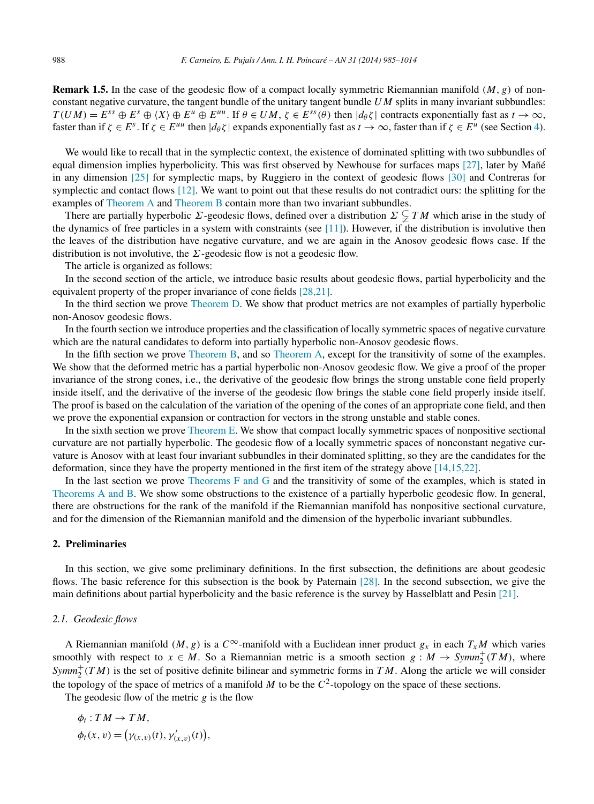**Remark 1.5.** In the case of the geodesic flow of a compact locally symmetric Riemannian manifold *(M,g)* of nonconstant negative curvature, the tangent bundle of the unitary tangent bundle *UM* splits in many invariant subbundles:  $T(UM) = E^{ss} \oplus E^s \oplus \langle X \rangle \oplus E^u \oplus E^{uu}$ . If  $\theta \in UM$ ,  $\zeta \in E^{ss}(\theta)$  then  $|d_{\theta}\zeta|$  contracts exponentially fast as  $t \to \infty$ , faster than if  $\zeta \in E^s$ . If  $\zeta \in E^{uu}$  then  $|d_\theta \zeta|$  expands exponentially fast as  $t \to \infty$ , faster than if  $\zeta \in E^u$  (see Section [4\)](#page-9-0).

We would like to recall that in the symplectic context, the existence of dominated splitting with two subbundles of equal dimension implies hyperbolicity. This was first observed by Newhouse for surfaces maps [\[27\],](#page-29-0) later by Mañé in any dimension [\[25\]](#page-29-0) for symplectic maps, by Ruggiero in the context of geodesic flows [\[30\]](#page-29-0) and Contreras for symplectic and contact flows [\[12\].](#page-28-0) We want to point out that these results do not contradict ours: the splitting for the examples of [Theorem A](#page-1-0) and [Theorem B](#page-1-0) contain more than two invariant subbundles.

There are partially hyperbolic  $\Sigma$ -geodesic flows, defined over a distribution  $\Sigma \subsetneq TM$  which arise in the study of the dynamics of free particles in a system with constraints (see [\[11\]\)](#page-28-0). However, if the distribution is involutive then the leaves of the distribution have negative curvature, and we are again in the Anosov geodesic flows case. If the distribution is not involutive, the  $\Sigma$ -geodesic flow is not a geodesic flow.

The article is organized as follows:

In the second section of the article, we introduce basic results about geodesic flows, partial hyperbolicity and the equivalent property of the proper invariance of cone fields [\[28,21\].](#page-29-0)

In the third section we prove [Theorem](#page-2-0) D. We show that product metrics are not examples of partially hyperbolic non-Anosov geodesic flows.

In the fourth section we introduce properties and the classification of locally symmetric spaces of negative curvature which are the natural candidates to deform into partially hyperbolic non-Anosov geodesic flows.

In the fifth section we prove [Theorem](#page-1-0) B, and so [Theorem A,](#page-1-0) except for the transitivity of some of the examples. We show that the deformed metric has a partial hyperbolic non-Anosov geodesic flow. We give a proof of the proper invariance of the strong cones, i.e., the derivative of the geodesic flow brings the strong unstable cone field properly inside itself, and the derivative of the inverse of the geodesic flow brings the stable cone field properly inside itself. The proof is based on the calculation of the variation of the opening of the cones of an appropriate cone field, and then we prove the exponential expansion or contraction for vectors in the strong unstable and stable cones.

In the sixth section we prove [Theorem](#page-2-0) E. We show that compact locally symmetric spaces of nonpositive sectional curvature are not partially hyperbolic. The geodesic flow of a locally symmetric spaces of nonconstant negative curvature is Anosov with at least four invariant subbundles in their dominated splitting, so they are the candidates for the deformation, since they have the property mentioned in the first item of the strategy above [\[14,15,22\].](#page-28-0)

In the last section we prove [Theorems](#page-2-0) F and G and the transitivity of some of the examples, which is stated in [Theorems A and B.](#page-1-0) We show some obstructions to the existence of a partially hyperbolic geodesic flow. In general, there are obstructions for the rank of the manifold if the Riemannian manifold has nonpositive sectional curvature, and for the dimension of the Riemannian manifold and the dimension of the hyperbolic invariant subbundles.

# **2. Preliminaries**

In this section, we give some preliminary definitions. In the first subsection, the definitions are about geodesic flows. The basic reference for this subsection is the book by Paternain [\[28\].](#page-29-0) In the second subsection, we give the main definitions about partial hyperbolicity and the basic reference is the survey by Hasselblatt and Pesin [\[21\].](#page-28-0)

# *2.1. Geodesic flows*

A Riemannian manifold *(M, g)* is a  $C^{\infty}$ -manifold with a Euclidean inner product  $g_x$  in each  $T_xM$  which varies smoothly with respect to  $x \in M$ . So a Riemannian metric is a smooth section  $g : M \to Symm_2^+(TM)$ , where *Symm*<sup>+</sup>  $(TM)$  is the set of positive definite bilinear and symmetric forms in *TM*. Along the article we will consider the topology of the space of metrics of a manifold  $M$  to be the  $C^2$ -topology on the space of these sections.

The geodesic flow of the metric *g* is the flow

$$
\begin{aligned} \phi_t: TM &\rightarrow TM, \\ \phi_t(x,v) &= \left(\gamma_{(x,v)}(t), \gamma'_{(x,v)}(t)\right), \end{aligned}
$$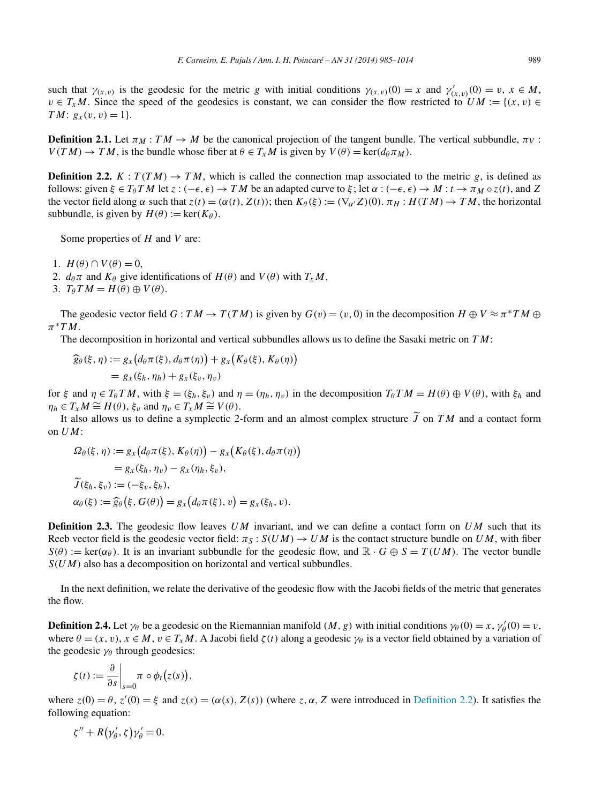such that  $\gamma_{(x,v)}$  is the geodesic for the metric *g* with initial conditions  $\gamma_{(x,v)}(0) = x$  and  $\gamma'_{(x,v)}(0) = v, x \in M$ ,  $v \in T_xM$ . Since the speed of the geodesics is constant, we can consider the flow restricted to *UM* := {*(x,v)* ∈ *TM*:  $g_x(v, v) = 1$ .

**Definition 2.1.** Let  $\pi_M : TM \to M$  be the canonical projection of the tangent bundle. The vertical subbundle,  $\pi_V$ :  $V(TM) \rightarrow TM$ , is the bundle whose fiber at  $\theta \in T_xM$  is given by  $V(\theta) = \text{ker}(d_{\theta} \pi_M)$ .

**Definition 2.2.**  $K : T(TM) \rightarrow TM$ , which is called the connection map associated to the metric *g*, is defined as follows: given  $\xi \in T_\theta TM$  let  $z : (-\epsilon, \epsilon) \to TM$  be an adapted curve to  $\xi$ ; let  $\alpha : (-\epsilon, \epsilon) \to M : t \to \pi_M \circ z(t)$ , and Z the vector field along  $\alpha$  such that  $z(t) = (\alpha(t), Z(t))$ ; then  $K_\theta(\xi) := (\nabla_{\alpha'} Z)(0)$ .  $\pi_H : H(TM) \to TM$ , the horizontal subbundle, is given by  $H(\theta) := \text{ker}(K_{\theta})$ .

Some properties of *H* and *V* are:

- 1.  $H(\theta) \cap V(\theta) = 0$ ,
- 2.  $d_{\theta}\pi$  and  $K_{\theta}$  give identifications of  $H(\theta)$  and  $V(\theta)$  with  $T_xM$ ,
- 3.  $T_{\theta}TM = H(\theta) \oplus V(\theta)$ .

The geodesic vector field  $G: TM \to T(TM)$  is given by  $G(v) = (v, 0)$  in the decomposition  $H \oplus V \approx \pi^*TM \oplus V$ *π*∗*T M*.

The decomposition in horizontal and vertical subbundles allows us to define the Sasaki metric on *T M*:

$$
\widehat{g}_{\theta}(\xi,\eta) := g_x \big( d_{\theta} \pi(\xi), d_{\theta} \pi(\eta) \big) + g_x \big( K_{\theta}(\xi), K_{\theta}(\eta) \big) = g_x(\xi_h, \eta_h) + g_x(\xi_v, \eta_v)
$$

for  $\xi$  and  $\eta \in T_{\theta}TM$ , with  $\xi = (\xi_h, \xi_v)$  and  $\eta = (\eta_h, \eta_v)$  in the decomposition  $T_{\theta}TM = H(\theta) \oplus V(\theta)$ , with  $\xi_h$  and  $\eta_h \in T_x M \cong H(\theta), \xi_v$  and  $\eta_v \in T_x M \cong V(\theta)$ .

It also allows us to define a symplectic 2-form and an almost complex structure *J* on *T M* and a contact form on *UM*:

$$
\Omega_{\theta}(\xi,\eta) := g_x \big( d_{\theta} \pi(\xi), K_{\theta}(\eta) \big) - g_x \big( K_{\theta}(\xi), d_{\theta} \pi(\eta) \big)
$$
  
=  $g_x(\xi_h, \eta_v) - g_x(\eta_h, \xi_v),$   

$$
\widetilde{J}(\xi_h, \xi_v) := (-\xi_v, \xi_h),
$$
  

$$
\alpha_{\theta}(\xi) := \widehat{g}_{\theta}(\xi, G(\theta)) = g_x \big( d_{\theta} \pi(\xi), v \big) = g_x(\xi_h, v).
$$

**Definition 2.3.** The geodesic flow leaves *UM* invariant, and we can define a contact form on *UM* such that its Reeb vector field is the geodesic vector field:  $\pi_S : S(UM) \to UM$  is the contact structure bundle on  $UM$ , with fiber  $S(\theta) := \ker(\alpha_{\theta})$ . It is an invariant subbundle for the geodesic flow, and  $\mathbb{R} \cdot G \oplus S = T(UM)$ . The vector bundle *S(UM)* also has a decomposition on horizontal and vertical subbundles.

In the next definition, we relate the derivative of the geodesic flow with the Jacobi fields of the metric that generates the flow.

**Definition 2.4.** Let  $\gamma_\theta$  be a geodesic on the Riemannian manifold  $(M, g)$  with initial conditions  $\gamma_\theta(0) = x$ ,  $\gamma_\theta'(0) = v$ , where  $\theta = (x, v)$ ,  $x \in M$ ,  $v \in T_xM$ . A Jacobi field  $\zeta(t)$  along a geodesic  $\gamma_\theta$  is a vector field obtained by a variation of the geodesic  $\gamma_{\theta}$  through geodesics:

$$
\zeta(t) := \frac{\partial}{\partial s}\bigg|_{s=0} \pi \circ \phi_t(z(s)),
$$

where  $z(0) = \theta$ ,  $z'(0) = \xi$  and  $z(s) = (\alpha(s), Z(s))$  (where *z*,  $\alpha$ , *Z* were introduced in Definition 2.2). It satisfies the following equation:

$$
\zeta'' + R(\gamma'_{\theta}, \zeta)\gamma'_{\theta} = 0.
$$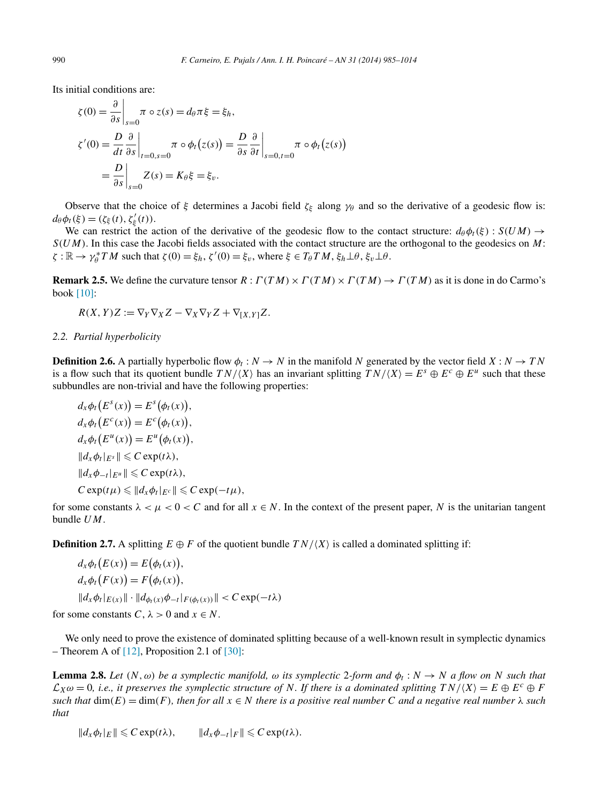<span id="page-5-0"></span>Its initial conditions are:

$$
\zeta(0) = \frac{\partial}{\partial s}\Big|_{s=0} \pi \circ z(s) = d_{\theta} \pi \xi = \xi_h,
$$
  

$$
\zeta'(0) = \frac{D}{dt} \frac{\partial}{\partial s}\Big|_{t=0, s=0} \pi \circ \phi_t(z(s)) = \frac{D}{\partial s} \frac{\partial}{\partial t}\Big|_{s=0, t=0} \pi \circ \phi_t(z(s))
$$
  

$$
= \frac{D}{\partial s}\Big|_{s=0} Z(s) = K_{\theta} \xi = \xi_v.
$$

Observe that the choice of  $\xi$  determines a Jacobi field  $\zeta_{\xi}$  along  $\gamma_{\theta}$  and so the derivative of a geodesic flow is:  $d_{\theta} \phi_t(\xi) = (\zeta_{\xi}(t), \zeta'_{\xi}(t)).$ 

We can restrict the action of the derivative of the geodesic flow to the contact structure:  $d_{\theta}\phi_t(\xi)$ :  $S(UM) \rightarrow$ *S(UM)*. In this case the Jacobi fields associated with the contact structure are the orthogonal to the geodesics on *M*:  $\zeta : \mathbb{R} \to \gamma_\theta^* T M$  such that  $\zeta(0) = \xi_h$ ,  $\zeta'(0) = \xi_v$ , where  $\xi \in T_\theta T M$ ,  $\xi_h \perp \theta$ ,  $\xi_v \perp \theta$ .

**Remark 2.5.** We define the curvature tensor  $R: \Gamma(TM) \times \Gamma(TM) \times \Gamma(TM) \rightarrow \Gamma(TM)$  as it is done in do Carmo's book [\[10\]:](#page-28-0)

$$
R(X, Y)Z := \nabla_Y \nabla_X Z - \nabla_X \nabla_Y Z + \nabla_{[X, Y]} Z.
$$

## *2.2. Partial hyperbolicity*

**Definition 2.6.** A partially hyperbolic flow  $\phi_t : N \to N$  in the manifold *N* generated by the vector field *X* :  $N \to TN$ is a flow such that its quotient bundle  $TN/(X)$  has an invariant splitting  $TN/(X) = E^s \oplus E^c \oplus E^u$  such that these subbundles are non-trivial and have the following properties:

$$
d_x \phi_t(E^s(x)) = E^s(\phi_t(x)),
$$
  
\n
$$
d_x \phi_t(E^c(x)) = E^c(\phi_t(x)),
$$
  
\n
$$
d_x \phi_t(E^u(x)) = E^u(\phi_t(x)),
$$
  
\n
$$
||d_x \phi_{t}|_{E^s} || \leq C \exp(t\lambda),
$$
  
\n
$$
||d_x \phi_{-t}|_{E^u} || \leq C \exp(t\lambda),
$$
  
\n
$$
C \exp(t\mu) \leq ||d_x \phi_t|_{E^c} || \leq C \exp(-t\mu),
$$

for some constants  $\lambda < \mu < 0 < C$  and for all  $x \in N$ . In the context of the present paper, N is the unitarian tangent bundle *UM*.

**Definition 2.7.** A splitting  $E \oplus F$  of the quotient bundle  $TN/(X)$  is called a dominated splitting if:

$$
d_x \phi_t(E(x)) = E(\phi_t(x)),
$$
  
\n
$$
d_x \phi_t(F(x)) = F(\phi_t(x)),
$$
  
\n
$$
||d_x \phi_t|_{E(x)}|| \cdot ||d_{\phi_t(x)} \phi_{-t}|_{F(\phi_t(x))}|| < C \exp(-t\lambda)
$$
  
\nfor some constants  $C, \lambda > 0$  and  $x \in N$ .

We only need to prove the existence of dominated splitting because of a well-known result in symplectic dynamics – Theorem A of  $[12]$ , Proposition 2.1 of  $[30]$ :

**Lemma 2.8.** *Let*  $(N, \omega)$  *be a symplectic manifold,*  $\omega$  *its symplectic* 2*-form and*  $\phi_t : N \to N$  *a flow on N such that*  $\mathcal{L}_X\omega = 0$ , i.e., it preserves the symplectic structure of *N*. If there is a dominated splitting  $TN/(X) = E \oplus E^c \oplus F$ *such that*  $dim(E) = dim(F)$ *, then for all*  $x \in N$  *there is a positive real number C and a negative real number*  $\lambda$  *such that*

 $||d_x \phi_t|_E || \leq C \exp(t\lambda), \qquad ||d_x \phi_{-t}|_F || \leq C \exp(t\lambda).$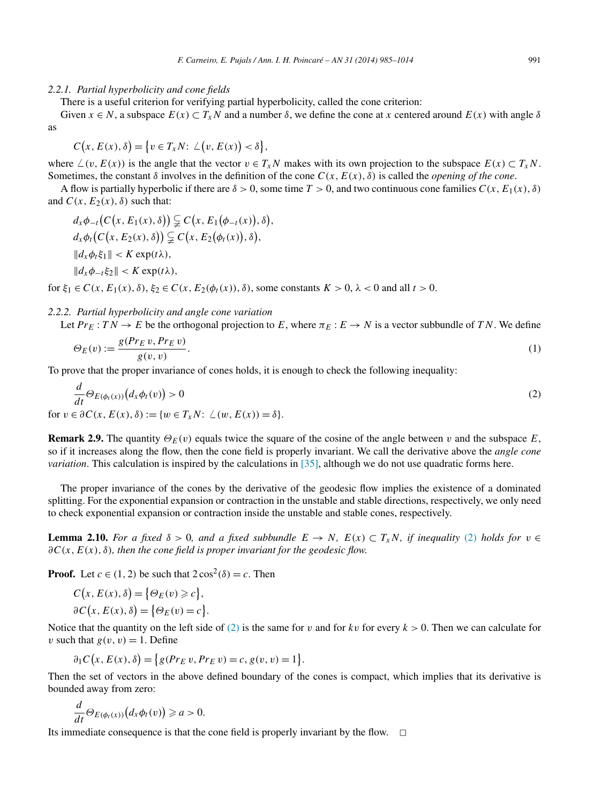<span id="page-6-0"></span>There is a useful criterion for verifying partial hyperbolicity, called the cone criterion:

Given  $x \in N$ , a subspace  $E(x) \subset T_xN$  and a number  $\delta$ , we define the cone at x centered around  $E(x)$  with angle  $\delta$ as

$$
C(x, E(x), \delta) = \{v \in T_x N: \angle(v, E(x)) < \delta\},
$$

where  $\angle(v, E(x))$  is the angle that the vector  $v \in T_xN$  makes with its own projection to the subspace  $E(x) \subset T_xN$ . Sometimes, the constant  $\delta$  involves in the definition of the cone  $C(x, E(x), \delta)$  is called the *opening of the cone*.

A flow is partially hyperbolic if there are  $\delta > 0$ , some time  $T > 0$ , and two continuous cone families  $C(x, E_1(x), \delta)$ and  $C(x, E_2(x), \delta)$  such that:

 $d_x \phi_{-t} (C(x, E_1(x), \delta)) \subsetneq C(x, E_1(\phi_{-t}(x)), \delta),$  $d_x \phi_t \big( C(x, E_2(x), \delta) \big) \subsetneq C(x, E_2(\phi_t(x)), \delta),$  $||d_x \phi_t \xi_1|| < K \exp(t\lambda),$  $||d_x \phi_{-t} \xi_2|| < K \exp(t\lambda),$ 

for  $\xi_1 \in C(x, E_1(x), \delta)$ ,  $\xi_2 \in C(x, E_2(\phi_t(x)), \delta)$ , some constants  $K > 0$ ,  $\lambda < 0$  and all  $t > 0$ .

#### *2.2.2. Partial hyperbolicity and angle cone variation*

Let  $Pr_E: TN \to E$  be the orthogonal projection to *E*, where  $\pi_E: E \to N$  is a vector subbundle of *TN*. We define

$$
\Theta_E(v) := \frac{g(Pr_E v, Pr_E v)}{g(v, v)}.\tag{1}
$$

To prove that the proper invariance of cones holds, it is enough to check the following inequality:

$$
\frac{d}{dt}\Theta_{E(\phi_t(x))}\big(d_x\phi_t(v)\big) > 0\tag{2}
$$

for  $v \in \partial C(x, E(x), \delta) := \{w \in T_xN: \angle(w, E(x)) = \delta\}.$ 

**Remark 2.9.** The quantity  $\Theta_E(v)$  equals twice the square of the cosine of the angle between *v* and the subspace *E*, so if it increases along the flow, then the cone field is properly invariant. We call the derivative above the *angle cone variation*. This calculation is inspired by the calculations in [\[35\],](#page-29-0) although we do not use quadratic forms here.

The proper invariance of the cones by the derivative of the geodesic flow implies the existence of a dominated splitting. For the exponential expansion or contraction in the unstable and stable directions, respectively, we only need to check exponential expansion or contraction inside the unstable and stable cones, respectively.

**Lemma 2.10.** For a fixed  $\delta > 0$ , and a fixed subbundle  $E \to N$ ,  $E(x) \subset T_xN$ , if inequality (2) holds for  $v \in$ *∂C(x,E(x),δ), then the cone field is proper invariant for the geodesic flow.*

**Proof.** Let  $c \in (1, 2)$  be such that  $2\cos^2(\delta) = c$ . Then

$$
C(x, E(x), \delta) = \{ \Theta_E(v) \ge c \},
$$
  

$$
\partial C(x, E(x), \delta) = \{ \Theta_E(v) = c \}
$$

Notice that the quantity on the left side of (2) is the same for *v* and for  $kv$  for every  $k > 0$ . Then we can calculate for *v* such that  $g(v, v) = 1$ . Define

$$
\partial_1 C(x, E(x), \delta) = \{ g(Pr_E v, Pr_E v) = c, g(v, v) = 1 \}.
$$

*.*

Then the set of vectors in the above defined boundary of the cones is compact, which implies that its derivative is bounded away from zero:

$$
\frac{d}{dt}\Theta_{E(\phi_t(x))}\big(d_x\phi_t(v)\big)\geqslant a>0.
$$

Its immediate consequence is that the cone field is properly invariant by the flow.  $\Box$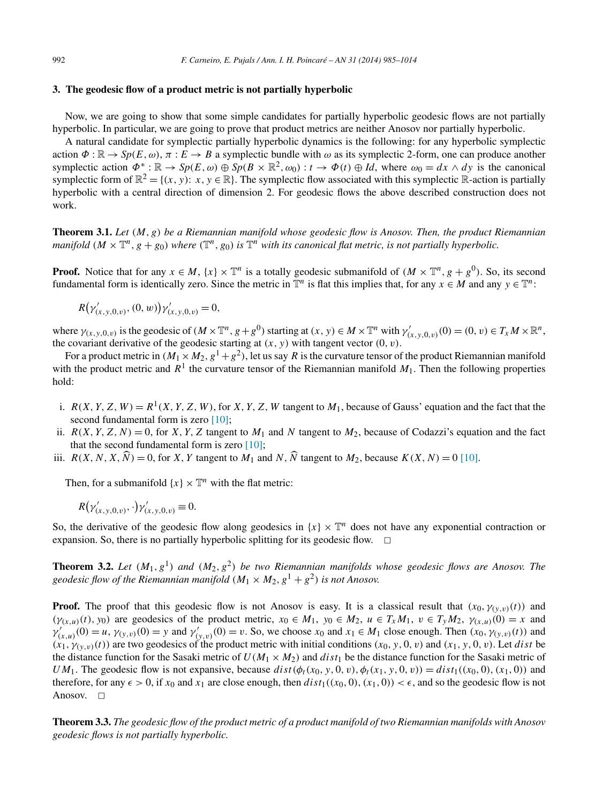## <span id="page-7-0"></span>**3. The geodesic flow of a product metric is not partially hyperbolic**

Now, we are going to show that some simple candidates for partially hyperbolic geodesic flows are not partially hyperbolic. In particular, we are going to prove that product metrics are neither Anosov nor partially hyperbolic.

A natural candidate for symplectic partially hyperbolic dynamics is the following: for any hyperbolic symplectic action  $\Phi : \mathbb{R} \to Sp(E, \omega)$ ,  $\pi : E \to B$  a symplectic bundle with  $\omega$  as its symplectic 2-form, one can produce another symplectic action  $\Phi^* : \mathbb{R} \to Sp(E, \omega) \oplus Sp(B \times \mathbb{R}^2, \omega_0) : t \to \Phi(t) \oplus Id$ , where  $\omega_0 = dx \wedge dy$  is the canonical symplectic form of  $\mathbb{R}^2 = \{(x, y): x, y \in \mathbb{R}\}$ . The symplectic flow associated with this symplectic R-action is partially hyperbolic with a central direction of dimension 2. For geodesic flows the above described construction does not work.

**Theorem 3.1.** *Let (M,g) be a Riemannian manifold whose geodesic flow is Anosov. Then, the product Riemannian manifold*  $(M \times \mathbb{T}^n, g + g_0)$  *where*  $(\mathbb{T}^n, g_0)$  *is*  $\mathbb{T}^n$  *with its canonical flat metric, is not partially hyperbolic.* 

**Proof.** Notice that for any  $x \in M$ ,  $\{x\} \times \mathbb{T}^n$  is a totally geodesic submanifold of  $(M \times \mathbb{T}^n, g + g^0)$ . So, its second fundamental form is identically zero. Since the metric in  $\mathbb{T}^n$  is flat this implies that, for any  $x \in M$  and any  $y \in \mathbb{T}^n$ :

$$
R(\gamma'_{(x,y,0,v)},(0,w))\gamma'_{(x,y,0,v)}=0,
$$

where  $\gamma_{(x,y,0,v)}$  is the geodesic of  $(M \times \mathbb{T}^n, g+g^0)$  starting at  $(x, y) \in M \times \mathbb{T}^n$  with  $\gamma'_{(x,y,0,v)}(0) = (0, v) \in T_x M \times \mathbb{R}^n$ , the covariant derivative of the geodesic starting at  $(x, y)$  with tangent vector  $(0, v)$ .

For a product metric in  $(M_1 \times M_2, g^1 + g^2)$ , let us say *R* is the curvature tensor of the product Riemannian manifold with the product metric and  $R<sup>1</sup>$  the curvature tensor of the Riemannian manifold  $M<sub>1</sub>$ . Then the following properties hold:

- i.  $R(X, Y, Z, W) = R<sup>1</sup>(X, Y, Z, W)$ , for *X, Y, Z, W* tangent to *M*<sub>1</sub>, because of Gauss' equation and the fact that the second fundamental form is zero [\[10\];](#page-28-0)
- ii.  $R(X, Y, Z, N) = 0$ , for *X*, *Y*, *Z* tangent to *M*<sub>1</sub> and *N* tangent to *M*<sub>2</sub>, because of Codazzi's equation and the fact that the second fundamental form is zero  $[10]$ ;
- iii.  $R(X, N, X, \hat{N}) = 0$ , for *X*, *Y* tangent to  $M_1$  and *N*,  $\hat{N}$  tangent to  $M_2$ , because  $K(X, N) = 0$  [\[10\].](#page-28-0)

Then, for a submanifold  $\{x\} \times \mathbb{T}^n$  with the flat metric:

$$
R(\gamma'_{(x,y,0,v)},\cdot)\gamma'_{(x,y,0,v)}\equiv 0.
$$

So, the derivative of the geodesic flow along geodesics in  ${x} \times \mathbb{T}^n$  does not have any exponential contraction or expansion. So, there is no partially hyperbolic splitting for its geodesic flow.  $\Box$ 

**Theorem 3.2.** Let  $(M_1, g^1)$  and  $(M_2, g^2)$  be two Riemannian manifolds whose geodesic flows are Anosov. The *geodesic flow of the Riemannian manifold*  $(M_1 \times M_2, g^1 + g^2)$  *is not Anosov.* 

**Proof.** The proof that this geodesic flow is not Anosov is easy. It is a classical result that  $(x_0, \gamma_{(y,y)}(t))$  and  $(\gamma_{(x,u)}(t), y_0)$  are geodesics of the product metric,  $x_0 \in M_1$ ,  $y_0 \in M_2$ ,  $u \in T_xM_1$ ,  $v \in T_yM_2$ ,  $\gamma_{(x,u)}(0) = x$  and  $\gamma'_{(x,u)}(0) = u$ ,  $\gamma_{(y,v)}(0) = y$  and  $\gamma'_{(y,v)}(0) = v$ . So, we choose  $x_0$  and  $x_1 \in M_1$  close enough. Then  $(x_0, \gamma_{(y,v)}(t))$  and  $(x_1, y_{(y,y)}(t))$  are two geodesics of the product metric with initial conditions  $(x_0, y, 0, v)$  and  $(x_1, y, 0, v)$ . Let *dist* be the distance function for the Sasaki metric of  $U(M_1 \times M_2)$  and  $dist_1$  be the distance function for the Sasaki metric of *UM*<sub>1</sub>. The geodesic flow is not expansive, because  $dist(\phi_t(x_0, y, 0, v), \phi_t(x_1, y, 0, v)) = dist_1((x_0, 0), (x_1, 0))$  and therefore, for any  $\epsilon > 0$ , if  $x_0$  and  $x_1$  are close enough, then  $dist_1((x_0, 0), (x_1, 0)) < \epsilon$ , and so the geodesic flow is not Anosov.  $\square$ 

**Theorem 3.3.** *The geodesic flow of the product metric of a product manifold of two Riemannian manifolds with Anosov geodesic flows is not partially hyperbolic.*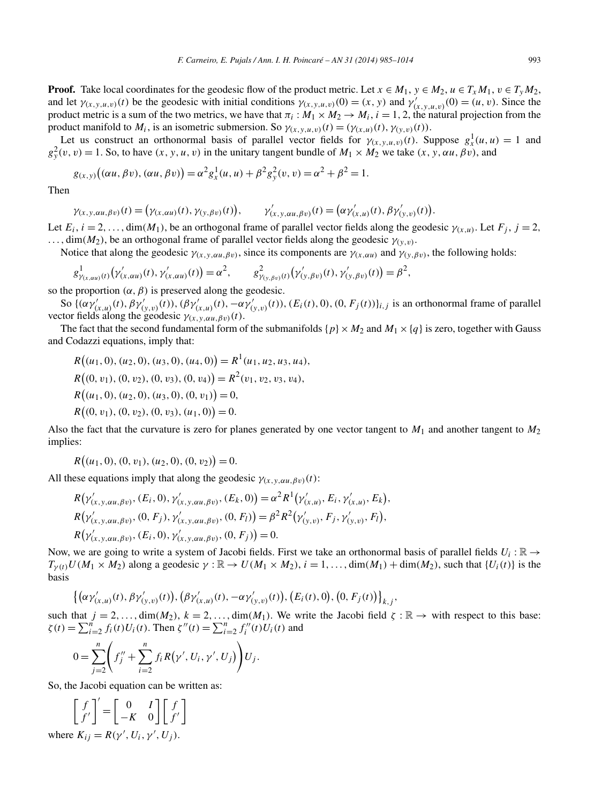**Proof.** Take local coordinates for the geodesic flow of the product metric. Let  $x \in M_1$ ,  $y \in M_2$ ,  $u \in T_xM_1$ ,  $v \in T_yM_2$ , and let  $\gamma_{(x,y,u,v)}(t)$  be the geodesic with initial conditions  $\gamma_{(x,y,u,v)}(0) = (x,y)$  and  $\gamma'_{(x,y,u,v)}(0) = (u,v)$ . Since the product metric is a sum of the two metrics, we have that  $\pi_i$ :  $M_1 \times M_2 \to M_i$ ,  $i = 1, 2$ , the natural projection from the product manifold to  $M_i$ , is an isometric submersion. So  $\gamma_{(x,y,u,v)}(t) = (\gamma_{(x,u)}(t), \gamma_{(y,v)}(t))$ .

Let us construct an orthonormal basis of parallel vector fields for  $\gamma_{(x,y,u,v)}(t)$ . Suppose  $g_x^1(u,u) = 1$  and  $g_y^2(v, v) = 1$ . So, to have  $(x, y, u, v)$  in the unitary tangent bundle of  $M_1 \times M_2$  we take  $(x, y, \alpha u, \beta v)$ , and

$$
g_{(x,y)}((\alpha u,\beta v),(\alpha u,\beta v)) = \alpha^2 g_x^1(u,u) + \beta^2 g_y^2(v,v) = \alpha^2 + \beta^2 = 1.
$$

Then

$$
\gamma_{(x,y,\alpha u,\beta v)}(t) = (\gamma_{(x,\alpha u)}(t), \gamma_{(y,\beta v)}(t)), \qquad \gamma'_{(x,y,\alpha u,\beta v)}(t) = (\alpha \gamma'_{(x,u)}(t), \beta \gamma'_{(y,v)}(t)).
$$

Let  $E_i$ ,  $i = 2, \ldots$ , dim $(M_1)$ , be an orthogonal frame of parallel vector fields along the geodesic  $\gamma(x, u)$ . Let  $F_i$ ,  $j = 2$ , *...,* dim*(M*2*)*, be an orthogonal frame of parallel vector fields along the geodesic *γ(y,v)*.

Notice that along the geodesic  $\gamma_{(x,y,\alpha u,\beta v)}$ , since its components are  $\gamma_{(x,\alpha u)}$  and  $\gamma_{(y,\beta v)}$ , the following holds:

$$
g^1_{\gamma(x,\alpha u)}(t)(\gamma'_{(x,\alpha u)}(t),\gamma'_{(x,\alpha u)}(t)) = \alpha^2, \qquad g^2_{\gamma(y,\beta v)}(\gamma'_{(y,\beta v)}(t),\gamma'_{(y,\beta v)}(t)) = \beta^2,
$$

so the proportion  $(\alpha, \beta)$  is preserved along the geodesic.

 $\int$   $\int$   $\left(\frac{\alpha \gamma'_{(x,u)}(t), \beta \gamma'_{(y,v)}(t), (\beta \gamma'_{(x,u)}(t), -\alpha \gamma'_{(y,v)}(t)), (E_i(t), 0), (0, F_j(t))\right)_{i,j}$  is an orthonormal frame of parallel vector fields along the geodesic  $\gamma_{(x,y,\alpha u,\beta v)}(t)$ .

The fact that the second fundamental form of the submanifolds  $\{p\}\times M_2$  and  $M_1\times \{q\}$  is zero, together with Gauss and Codazzi equations, imply that:

$$
R((u_1, 0), (u_2, 0), (u_3, 0), (u_4, 0)) = R1(u_1, u_2, u_3, u_4),
$$
  
\n
$$
R((0, v_1), (0, v_2), (0, v_3), (0, v_4)) = R2(v_1, v_2, v_3, v_4),
$$
  
\n
$$
R((u_1, 0), (u_2, 0), (u_3, 0), (0, v_1)) = 0,
$$
  
\n
$$
R((0, v_1), (0, v_2), (0, v_3), (u_1, 0)) = 0.
$$

Also the fact that the curvature is zero for planes generated by one vector tangent to  $M_1$  and another tangent to  $M_2$ implies:

$$
R((u_1, 0), (0, v_1), (u_2, 0), (0, v_2)) = 0.
$$

All these equations imply that along the geodesic  $\gamma_{(x,y,\alpha u,\beta v)}(t)$ :

$$
R(\gamma'_{(x,y,\alpha u,\beta v)}, (E_i, 0), \gamma'_{(x,y,\alpha u,\beta v)}, (E_k, 0)) = \alpha^2 R^1(\gamma'_{(x,u)}, E_i, \gamma'_{(x,u)}, E_k),
$$
  
\n
$$
R(\gamma'_{(x,y,\alpha u,\beta v)}, (0, F_j), \gamma'_{(x,y,\alpha u,\beta v)}, (0, F_l)) = \beta^2 R^2(\gamma'_{(y,v)}, F_j, \gamma'_{(y,v)}, F_l),
$$
  
\n
$$
R(\gamma'_{(x,y,\alpha u,\beta v)}, (E_i, 0), \gamma'_{(x,y,\alpha u,\beta v)}, (0, F_j)) = 0.
$$

Now, we are going to write a system of Jacobi fields. First we take an orthonormal basis of parallel fields  $U_i : \mathbb{R} \to$  $T_{\gamma(t)}U(M_1 \times M_2)$  along a geodesic  $\gamma : \mathbb{R} \to U(M_1 \times M_2)$ ,  $i = 1, \ldots, \dim(M_1) + \dim(M_2)$ , such that  $\{U_i(t)\}$  is the basis

$$
\{(\alpha\gamma_{(x,u)}'(t),\beta\gamma_{(y,v)}'(t)),(\beta\gamma_{(x,u)}'(t),-\alpha\gamma_{(y,v)}'(t)),(E_i(t),0),(0,F_j(t))\}_{k,j},
$$

such that  $j = 2, \ldots, \dim(M_2), k = 2, \ldots, \dim(M_1)$ . We write the Jacobi field  $\zeta : \mathbb{R} \to \mathbb{R}$  with respect to this base:  $\zeta(t) = \sum_{i=2}^{n} f_i(t)U_i(t)$ . Then  $\zeta''(t) = \sum_{i=2}^{n} f_i''(t)U_i(t)$  and

$$
0 = \sum_{j=2}^{n} \left( f''_j + \sum_{i=2}^{n} f_i R(\gamma', U_i, \gamma', U_j) \right) U_j.
$$

So, the Jacobi equation can be written as:

 *f f*  $\begin{bmatrix} 1 \\ -1 \end{bmatrix} = \begin{bmatrix} 0 & I \\ -I & I \end{bmatrix}$ −*K* 0  $\prod f$ *f* ٦ where  $K_{ij} = R(\gamma', U_i, \gamma', U_j)$ .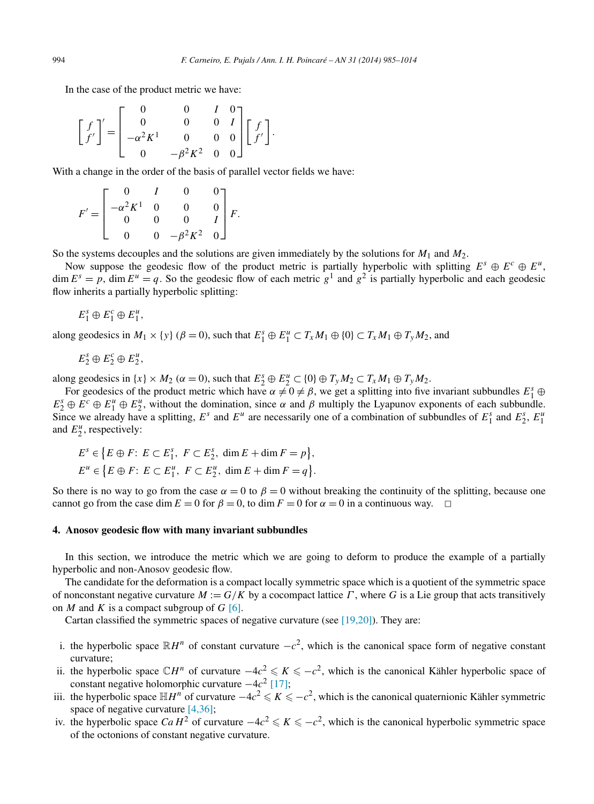<span id="page-9-0"></span>In the case of the product metric we have:

$$
\begin{bmatrix} f \\ f' \end{bmatrix}' = \begin{bmatrix} 0 & 0 & I & 0 \\ 0 & 0 & 0 & I \\ -\alpha^2 K^1 & 0 & 0 & 0 \\ 0 & -\beta^2 K^2 & 0 & 0 \end{bmatrix} \begin{bmatrix} f \\ f' \end{bmatrix}.
$$

With a change in the order of the basis of parallel vector fields we have:

$$
F' = \begin{bmatrix} 0 & I & 0 & 0 \\ -\alpha^2 K^1 & 0 & 0 & 0 \\ 0 & 0 & 0 & I \\ 0 & 0 & -\beta^2 K^2 & 0 \end{bmatrix} F.
$$

So the systems decouples and the solutions are given immediately by the solutions for *M*<sup>1</sup> and *M*2.

Now suppose the geodesic flow of the product metric is partially hyperbolic with splitting  $E^s \oplus E^c \oplus E^u$ ,  $\dim E^s = p$ ,  $\dim E^u = q$ . So the geodesic flow of each metric  $g^1$  and  $g^2$  is partially hyperbolic and each geodesic flow inherits a partially hyperbolic splitting:

$$
E_1^s\oplus E_1^c\oplus E_1^u,
$$

along geodesics in  $M_1 \times \{y\}$  ( $\beta = 0$ ), such that  $E_1^s \oplus E_1^u \subset T_xM_1 \oplus \{0\} \subset T_xM_1 \oplus T_yM_2$ , and

$$
E_2^s\oplus E_2^c\oplus E_2^u,
$$

along geodesics in  $\{x\} \times M_2$  ( $\alpha = 0$ ), such that  $E_2^s \oplus E_2^u \subset \{0\} \oplus T_y M_2 \subset T_x M_1 \oplus T_y M_2$ .

For geodesics of the product metric which have  $\alpha \neq 0 \neq \beta$ , we get a splitting into five invariant subbundles  $E_1^s \oplus$  $E_2^s \oplus E^c \oplus E_1^u \oplus E_2^u$ , without the domination, since  $\alpha$  and  $\beta$  multiply the Lyapunov exponents of each subbundle. Since we already have a splitting,  $E^s$  and  $E^u$  are necessarily one of a combination of subbundles of  $E_1^s$  and  $E_2^s$ ,  $E_1^u$ and  $E_2^u$ , respectively:

$$
Es \in \{E \oplus F : E \subset E_1s, F \subset E_2s, \dim E + \dim F = p\},\
$$
  

$$
Eu \in \{E \oplus F : E \subset E_1u, F \subset E_2u, \dim E + \dim F = q\}.
$$

So there is no way to go from the case  $\alpha = 0$  to  $\beta = 0$  without breaking the continuity of the splitting, because one cannot go from the case dim  $E = 0$  for  $\beta = 0$ , to dim  $F = 0$  for  $\alpha = 0$  in a continuous way.  $\Box$ 

## **4. Anosov geodesic flow with many invariant subbundles**

In this section, we introduce the metric which we are going to deform to produce the example of a partially hyperbolic and non-Anosov geodesic flow.

The candidate for the deformation is a compact locally symmetric space which is a quotient of the symmetric space of nonconstant negative curvature  $M := G/K$  by a cocompact lattice  $\Gamma$ , where  $G$  is a Lie group that acts transitively on *M* and *K* is a compact subgroup of  $G$  [\[6\].](#page-28-0)

Cartan classified the symmetric spaces of negative curvature (see [\[19,20\]\)](#page-28-0). They are:

- i. the hyperbolic space  $\mathbb{R}H^n$  of constant curvature  $-c^2$ , which is the canonical space form of negative constant curvature;
- ii. the hyperbolic space  $\mathbb{C}H^n$  of curvature  $-4c^2 \leqslant K \leqslant -c^2$ , which is the canonical Kähler hyperbolic space of constant negative holomorphic curvature −4*c*<sup>2</sup> [\[17\];](#page-28-0)
- iii. the hyperbolic space  $\mathbb{H}H^n$  of curvature  $-4c^2 \leqslant K \leqslant -c^2$ , which is the canonical quaternionic Kähler symmetric space of negative curvature  $[4,36]$ ;
- iv. the hyperbolic space  $CaH^2$  of curvature  $-4c^2 \leqslant K \leqslant -c^2$ , which is the canonical hyperbolic symmetric space of the octonions of constant negative curvature.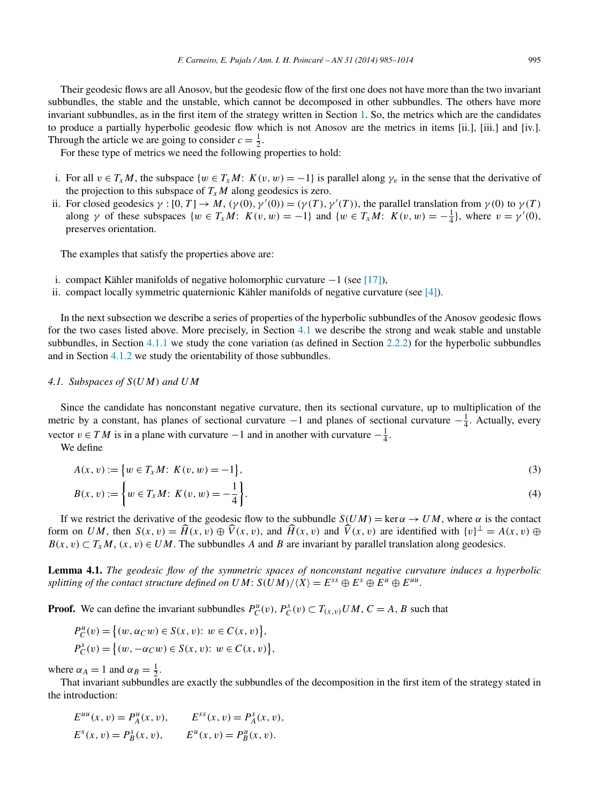Their geodesic flows are all Anosov, but the geodesic flow of the first one does not have more than the two invariant subbundles, the stable and the unstable, which cannot be decomposed in other subbundles. The others have more invariant subbundles, as in the first item of the strategy written in Section [1.](#page-0-0) So, the metrics which are the candidates to produce a partially hyperbolic geodesic flow which is not Anosov are the metrics in items [ii.], [iii.] and [iv.]. Through the article we are going to consider  $c = \frac{1}{2}$ .

For these type of metrics we need the following properties to hold:

- i. For all  $v \in T_xM$ , the subspace  $\{w \in T_xM: K(v, w) = -1\}$  is parallel along  $\gamma_v$  in the sense that the derivative of the projection to this subspace of  $T_xM$  along geodesics is zero.
- ii. For closed geodesics  $\gamma : [0, T] \to M$ ,  $(\gamma(0), \gamma'(0)) = (\gamma(T), \gamma'(T))$ , the parallel translation from  $\gamma(0)$  to  $\gamma(T)$ along  $\gamma$  of these subspaces  $\{w \in T_xM: K(v, w) = -1\}$  and  $\{w \in T_xM: K(v, w) = -\frac{1}{4}\}$ , where  $v = \gamma'(0)$ , preserves orientation.

The examples that satisfy the properties above are:

- i. compact Kähler manifolds of negative holomorphic curvature −1 (see [\[17\]\)](#page-28-0),
- ii. compact locally symmetric quaternionic Kähler manifolds of negative curvature (see [\[4\]\)](#page-28-0).

In the next subsection we describe a series of properties of the hyperbolic subbundles of the Anosov geodesic flows for the two cases listed above. More precisely, in Section 4.1 we describe the strong and weak stable and unstable subbundles, in Section [4.1.1](#page-11-0) we study the cone variation (as defined in Section [2.2.2\)](#page-6-0) for the hyperbolic subbundles and in Section [4.1.2](#page-13-0) we study the orientability of those subbundles.

## *4.1. Subspaces of S(UM) and UM*

Since the candidate has nonconstant negative curvature, then its sectional curvature, up to multiplication of the metric by a constant, has planes of sectional curvature  $-1$  and planes of sectional curvature  $-\frac{1}{4}$ . Actually, every vector  $v \in TM$  is in a plane with curvature  $-1$  and in another with curvature  $-\frac{1}{4}$ .

We define

$$
A(x, v) := \{ w \in T_x M : K(v, w) = -1 \},
$$
\n(3)

$$
B(x, v) := \left\{ w \in T_x M : K(v, w) = -\frac{1}{4} \right\}.
$$
 (4)

If we restrict the derivative of the geodesic flow to the subbundle  $S(UM) = \text{ker }\alpha \to UM$ , where  $\alpha$  is the contact form on *UM*, then  $S(x, v) = \widehat{H}(x, v) \oplus \widehat{V}(x, v)$ , and  $\widehat{H}(x, v)$  and  $\widehat{V}(x, v)$  are identified with  $\{v\}^{\perp} = A(x, v) \oplus$  $B(x, v) \subset T_x M$ ,  $(x, v) \in UM$ . The subbundles *A* and *B* are invariant by parallel translation along geodesics.

**Lemma 4.1.** *The geodesic flow of the symmetric spaces of nonconstant negative curvature induces a hyperbolic splitting of the contact structure defined on*  $U M$ *:*  $S(U M)/(X) = E^{ss} \oplus E^s \oplus E^u \oplus E^{uu}$ *.* 

**Proof.** We can define the invariant subbundles  $P_C^u(v)$ ,  $P_C^s(v) \subset T_{(x,v)} U M$ ,  $C = A$ , B such that

$$
P_C^u(v) = \{(w, \alpha_C w) \in S(x, v): w \in C(x, v)\},\
$$
  

$$
P_C^s(v) = \{(w, -\alpha_C w) \in S(x, v): w \in C(x, v)\},\
$$

where  $\alpha_A = 1$  and  $\alpha_B = \frac{1}{2}$ .

That invariant subbundles are exactly the subbundles of the decomposition in the first item of the strategy stated in the introduction:

$$
E^{uu}(x, v) = P_A^u(x, v), \t E^{ss}(x, v) = P_A^s(x, v),
$$
  

$$
E^s(x, v) = P_B^s(x, v), \t E^u(x, v) = P_B^u(x, v).
$$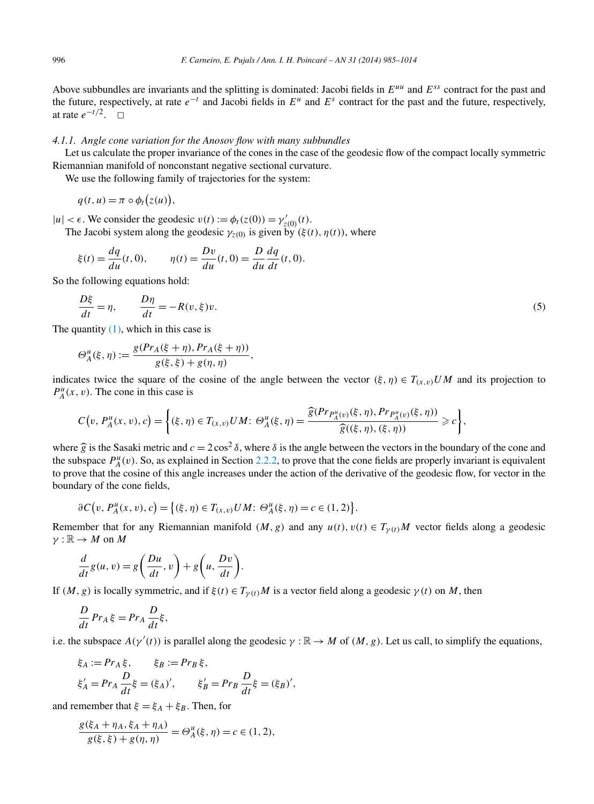<span id="page-11-0"></span>Above subbundles are invariants and the splitting is dominated: Jacobi fields in *Euu* and *Ess* contract for the past and the future, respectively, at rate *e*−*<sup>t</sup>* and Jacobi fields in *E<sup>u</sup>* and *E<sup>s</sup>* contract for the past and the future, respectively, at rate  $e^{-t/2}$ . <del>□</del>

## *4.1.1. Angle cone variation for the Anosov flow with many subbundles*

Let us calculate the proper invariance of the cones in the case of the geodesic flow of the compact locally symmetric Riemannian manifold of nonconstant negative sectional curvature.

We use the following family of trajectories for the system:

 $q(t, u) = \pi \circ \phi_t(z(u)),$ 

 $|u| < \epsilon$ . We consider the geodesic  $v(t) := \phi_t(z(0)) = \gamma'_{z(0)}(t)$ .

The Jacobi system along the geodesic  $\gamma_{z(0)}$  is given by  $(\xi(t), \eta(t))$ , where

$$
\xi(t) = \frac{dq}{du}(t, 0),
$$
  $\eta(t) = \frac{Dv}{du}(t, 0) = \frac{D}{du}\frac{dq}{dt}(t, 0).$ 

So the following equations hold:

$$
\frac{D\xi}{dt} = \eta, \qquad \frac{D\eta}{dt} = -R(v,\xi)v.
$$
\n(5)

The quantity  $(1)$ , which in this case is

$$
\Theta_A^u(\xi, \eta) := \frac{g(Pr_A(\xi + \eta), Pr_A(\xi + \eta))}{g(\xi, \xi) + g(\eta, \eta)},
$$

indicates twice the square of the cosine of the angle between the vector  $(\xi, \eta) \in T_{(x,v)} \cup M$  and its projection to  $P_A^u(x, v)$ . The cone in this case is

$$
C(v, P_A^u(x, v), c) = \left\{ (\xi, \eta) \in T_{(x, v)} U M: \Theta_A^u(\xi, \eta) = \frac{\widehat{g}(Pr_{P_A^u(v)}(\xi, \eta), Pr_{P_A^u(v)}(\xi, \eta))}{\widehat{g}((\xi, \eta), (\xi, \eta))} \geqslant c \right\},\,
$$

where  $\hat{g}$  is the Sasaki metric and  $c = 2\cos^2{\delta}$ , where  $\delta$  is the angle between the vectors in the boundary of the cone and the subspace  $P_A^u(v)$ . So, as explained in Section [2.2.2,](#page-6-0) to prove that the cone fields are properly invariant is equivalent to prove that the cosine of this angle increases under the action of the derivative of the geodesic flow, for vector in the boundary of the cone fields,

$$
\partial C(v, P_A^u(x, v), c) = \{ (\xi, \eta) \in T_{(x, v)} U M: \Theta_A^u(\xi, \eta) = c \in (1, 2) \}.
$$

Remember that for any Riemannian manifold  $(M, g)$  and any  $u(t), v(t) \in T_{\gamma(t)}M$  vector fields along a geodesic *γ* : ℝ → *M* on *M* 

$$
\frac{d}{dt}g(u,v) = g\left(\frac{Du}{dt},v\right) + g\left(u,\frac{Dv}{dt}\right).
$$

If  $(M, g)$  is locally symmetric, and if  $\xi(t) \in T_{\gamma(t)}M$  is a vector field along a geodesic  $\gamma(t)$  on M, then

$$
\frac{D}{dt}Pr_A \xi = Pr_A \frac{D}{dt} \xi,
$$

i.e. the subspace  $A(\gamma'(t))$  is parallel along the geodesic  $\gamma : \mathbb{R} \to M$  of  $(M, g)$ . Let us call, to simplify the equations,

$$
\xi_A := Pr_A \xi, \qquad \xi_B := Pr_B \xi,
$$
  

$$
\xi'_A = Pr_A \frac{D}{dt} \xi = (\xi_A)', \qquad \xi'_B = Pr_B \frac{D}{dt} \xi = (\xi_B)',
$$

and remember that  $\xi = \xi_A + \xi_B$ . Then, for

$$
\frac{g(\xi_A + \eta_A, \xi_A + \eta_A)}{g(\xi, \xi) + g(\eta, \eta)} = \Theta_A^u(\xi, \eta) = c \in (1, 2),
$$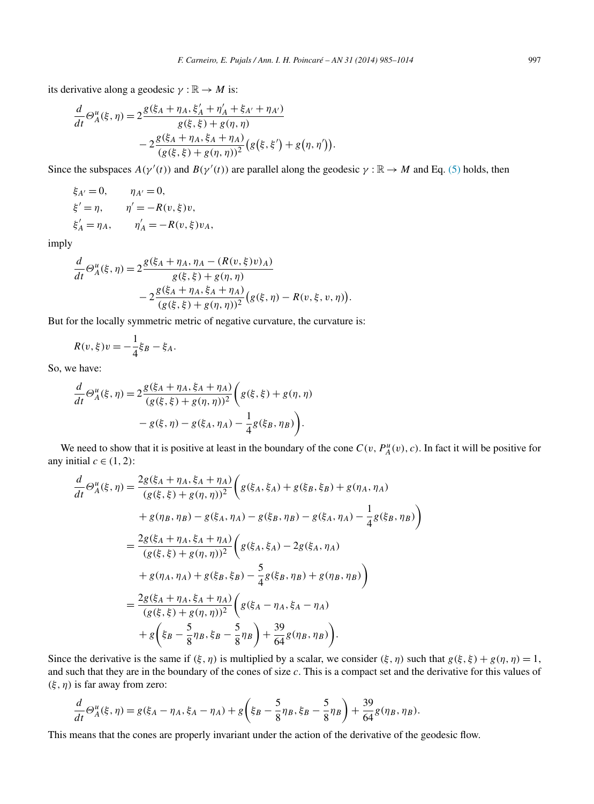its derivative along a geodesic  $\gamma : \mathbb{R} \to M$  is:

$$
\frac{d}{dt}\Theta_{A}^{u}(\xi,\eta) = 2\frac{g(\xi_{A} + \eta_{A}, \xi'_{A} + \eta'_{A} + \xi_{A'} + \eta_{A'})}{g(\xi,\xi) + g(\eta,\eta)} - 2\frac{g(\xi_{A} + \eta_{A}, \xi_{A} + \eta_{A})}{(g(\xi,\xi) + g(\eta,\eta))^{2}}(g(\xi,\xi') + g(\eta,\eta')).
$$

Since the subspaces  $A(\gamma'(t))$  and  $B(\gamma'(t))$  are parallel along the geodesic  $\gamma : \mathbb{R} \to M$  and Eq. [\(5\)](#page-11-0) holds, then

$$
\xi_{A'} = 0,
$$
  $\eta_{A'} = 0,$   
\n $\xi' = \eta,$   $\eta' = -R(v, \xi)v,$   
\n $\xi'_{A} = \eta_{A},$   $\eta'_{A} = -R(v, \xi)v_{A},$ 

imply

$$
\frac{d}{dt}\Theta_{A}^{u}(\xi,\eta) = 2\frac{g(\xi_{A} + \eta_{A}, \eta_{A} - (R(v,\xi)v)_{A})}{g(\xi,\xi) + g(\eta,\eta)} - 2\frac{g(\xi_{A} + \eta_{A}, \xi_{A} + \eta_{A})}{(g(\xi,\xi) + g(\eta,\eta))^{2}}(g(\xi,\eta) - R(v,\xi,v,\eta)).
$$

But for the locally symmetric metric of negative curvature, the curvature is:

$$
R(v, \xi)v = -\frac{1}{4}\xi_B - \xi_A.
$$

So, we have:

$$
\frac{d}{dt}\Theta_{A}^{u}(\xi,\eta) = 2\frac{g(\xi_{A} + \eta_{A}, \xi_{A} + \eta_{A})}{(g(\xi,\xi) + g(\eta,\eta))^{2}} \bigg(g(\xi,\xi) + g(\eta,\eta) - g(\xi_{A}, \eta_{A}) - \frac{1}{4}g(\xi_{B}, \eta_{B})\bigg).
$$

We need to show that it is positive at least in the boundary of the cone  $C(v, P_A^u(v), c)$ . In fact it will be positive for any initial  $c \in (1, 2)$ :

$$
\frac{d}{dt}\Theta_{A}^{u}(\xi,\eta) = \frac{2g(\xi_{A} + \eta_{A}, \xi_{A} + \eta_{A})}{(g(\xi,\xi) + g(\eta,\eta))^{2}} \bigg( g(\xi_{A}, \xi_{A}) + g(\xi_{B}, \xi_{B}) + g(\eta_{A}, \eta_{A}) \n+ g(\eta_{B}, \eta_{B}) - g(\xi_{A}, \eta_{A}) - g(\xi_{B}, \eta_{B}) - g(\xi_{A}, \eta_{A}) - \frac{1}{4}g(\xi_{B}, \eta_{B}) \bigg) \n= \frac{2g(\xi_{A} + \eta_{A}, \xi_{A} + \eta_{A})}{(g(\xi,\xi) + g(\eta,\eta))^{2}} \bigg( g(\xi_{A}, \xi_{A}) - 2g(\xi_{A}, \eta_{A}) \n+ g(\eta_{A}, \eta_{A}) + g(\xi_{B}, \xi_{B}) - \frac{5}{4}g(\xi_{B}, \eta_{B}) + g(\eta_{B}, \eta_{B}) \bigg) \n= \frac{2g(\xi_{A} + \eta_{A}, \xi_{A} + \eta_{A})}{(g(\xi,\xi) + g(\eta,\eta))^{2}} \bigg( g(\xi_{A} - \eta_{A}, \xi_{A} - \eta_{A}) \n+ g(\xi_{B} - \frac{5}{8}\eta_{B}, \xi_{B} - \frac{5}{8}\eta_{B}) + \frac{39}{64}g(\eta_{B}, \eta_{B}) \bigg).
$$

Since the derivative is the same if  $(\xi, \eta)$  is multiplied by a scalar, we consider  $(\xi, \eta)$  such that  $g(\xi, \xi) + g(\eta, \eta) = 1$ , and such that they are in the boundary of the cones of size *c*. This is a compact set and the derivative for this values of *(ξ,η)* is far away from zero:

$$
\frac{d}{dt}\Theta_A^u(\xi,\eta) = g(\xi_A - \eta_A, \xi_A - \eta_A) + g\left(\xi_B - \frac{5}{8}\eta_B, \xi_B - \frac{5}{8}\eta_B\right) + \frac{39}{64}g(\eta_B, \eta_B).
$$

This means that the cones are properly invariant under the action of the derivative of the geodesic flow.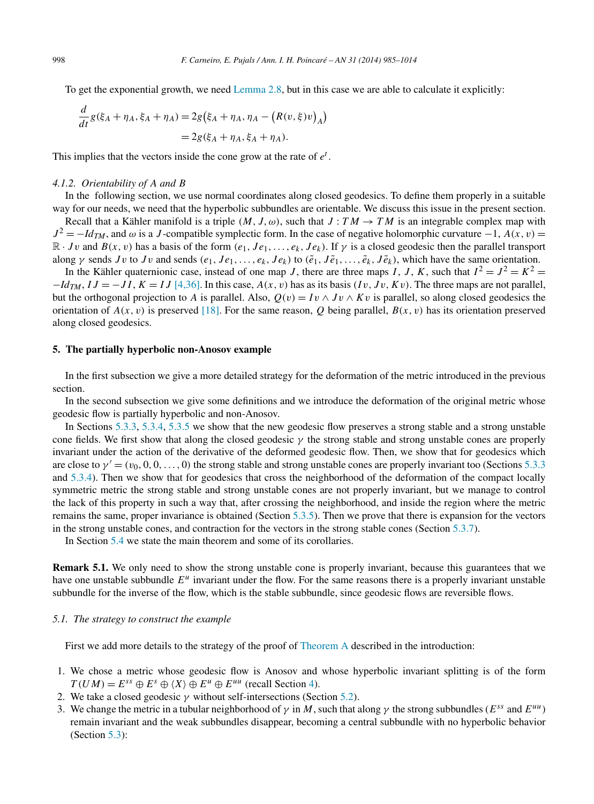<span id="page-13-0"></span>To get the exponential growth, we need [Lemma 2.8,](#page-5-0) but in this case we are able to calculate it explicitly:

$$
\frac{d}{dt}g(\xi_A + \eta_A, \xi_A + \eta_A) = 2g(\xi_A + \eta_A, \eta_A - (R(v, \xi)v)_A)
$$
  
= 2g(\xi\_A + \eta\_A, \xi\_A + \eta\_A).

This implies that the vectors inside the cone grow at the rate of  $e^t$ .

## *4.1.2. Orientability of A and B*

In the following section, we use normal coordinates along closed geodesics. To define them properly in a suitable way for our needs, we need that the hyperbolic subbundles are orientable. We discuss this issue in the present section.

Recall that a Kähler manifold is a triple  $(M, J, \omega)$ , such that  $J : TM \rightarrow TM$  is an integrable complex map with  $J^2 = -Id_{TM}$ , and  $\omega$  is a *J*-compatible symplectic form. In the case of negative holomorphic curvature  $-1$ ,  $A(x, v) =$  $\mathbb{R} \cdot Jv$  and  $B(x, v)$  has a basis of the form  $(e_1, Je_1, \ldots, e_k, Je_k)$ . If  $\gamma$  is a closed geodesic then the parallel transport along  $\gamma$  sends  $Jv$  to  $Jv$  and sends  $(e_1, Je_1, \ldots, e_k, Je_k)$  to  $(\tilde{e}_1, J\tilde{e}_1, \ldots, \tilde{e}_k, J\tilde{e}_k)$ , which have the same orientation.

In the Kähler quaternionic case, instead of one map *J*, there are three maps *I*, *J*, *K*, such that  $I^2 = J^2 = K^2 =$  $-Id_{TM}$ ,  $IJ = -JI$ ,  $K = IJ$  [\[4,36\].](#page-28-0) In this case,  $A(x, v)$  has as its basis  $(Iv, Jv, Kv)$ . The three maps are not parallel, but the orthogonal projection to *A* is parallel. Also,  $Q(v) = Iv \wedge Jv \wedge Kv$  is parallel, so along closed geodesics the orientation of  $A(x, v)$  is preserved [\[18\].](#page-28-0) For the same reason, *Q* being parallel,  $B(x, v)$  has its orientation preserved along closed geodesics.

## **5. The partially hyperbolic non-Anosov example**

In the first subsection we give a more detailed strategy for the deformation of the metric introduced in the previous section.

In the second subsection we give some definitions and we introduce the deformation of the original metric whose geodesic flow is partially hyperbolic and non-Anosov.

In Sections [5.3.3,](#page-19-0) [5.3.4,](#page-22-0) [5.3.5](#page-22-0) we show that the new geodesic flow preserves a strong stable and a strong unstable cone fields. We first show that along the closed geodesic *γ* the strong stable and strong unstable cones are properly invariant under the action of the derivative of the deformed geodesic flow. Then, we show that for geodesics which are close to  $\gamma' = (v_0, 0, 0, \ldots, 0)$  the strong stable and strong unstable cones are properly invariant too (Sections [5.3.3](#page-19-0)) and [5.3.4\)](#page-22-0). Then we show that for geodesics that cross the neighborhood of the deformation of the compact locally symmetric metric the strong stable and strong unstable cones are not properly invariant, but we manage to control the lack of this property in such a way that, after crossing the neighborhood, and inside the region where the metric remains the same, proper invariance is obtained (Section [5.3.5\)](#page-22-0). Then we prove that there is expansion for the vectors in the strong unstable cones, and contraction for the vectors in the strong stable cones (Section [5.3.7\)](#page-24-0).

In Section [5.4](#page-24-0) we state the main theorem and some of its corollaries.

**Remark 5.1.** We only need to show the strong unstable cone is properly invariant, because this guarantees that we have one unstable subbundle *E<sup>u</sup>* invariant under the flow. For the same reasons there is a properly invariant unstable subbundle for the inverse of the flow, which is the stable subbundle, since geodesic flows are reversible flows.

## *5.1. The strategy to construct the example*

First we add more details to the strategy of the proof of [Theorem A](#page-1-0) described in the introduction:

- 1. We chose a metric whose geodesic flow is Anosov and whose hyperbolic invariant splitting is of the form  $T(UM) = E^{ss} \oplus E^s \oplus \langle X \rangle \oplus E^u \oplus E^{uu}$  (recall Section [4\)](#page-9-0).
- 2. We take a closed geodesic *γ* without self-intersections (Section [5.2\)](#page-14-0).
- 3. We change the metric in a tubular neighborhood of  $\gamma$  in *M*, such that along  $\gamma$  the strong subbundles (*E*<sup>*ss*</sup> and *E*<sup>*uu*</sup>) remain invariant and the weak subbundles disappear, becoming a central subbundle with no hyperbolic behavior (Section [5.3\)](#page-17-0):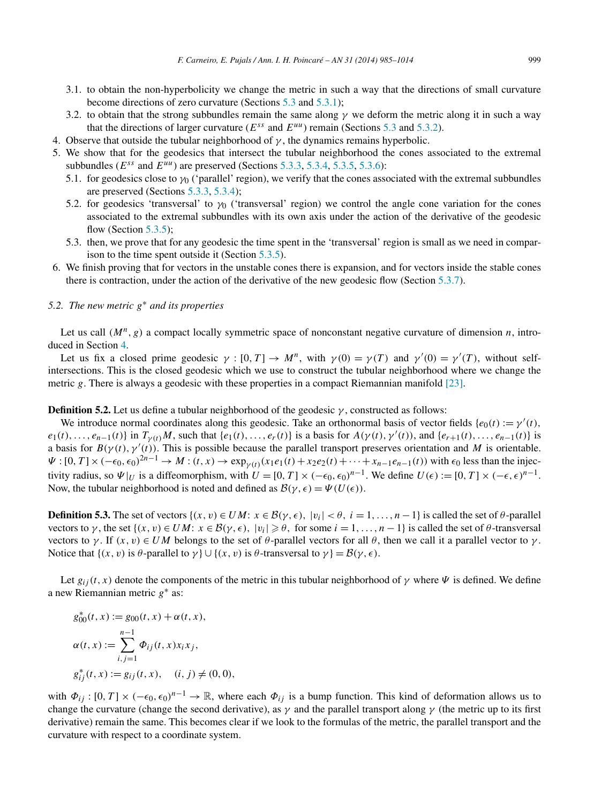- <span id="page-14-0"></span>3.1. to obtain the non-hyperbolicity we change the metric in such a way that the directions of small curvature become directions of zero curvature (Sections [5.3](#page-17-0) and [5.3.1\)](#page-18-0);
- 3.2. to obtain that the strong subbundles remain the same along  $\gamma$  we deform the metric along it in such a way that the directions of larger curvature ( $E^{ss}$  and  $E^{uu}$ ) remain (Sections [5.3](#page-17-0) and [5.3.2\)](#page-18-0).
- 4. Observe that outside the tubular neighborhood of  $\gamma$ , the dynamics remains hyperbolic.
- 5. We show that for the geodesics that intersect the tubular neighborhood the cones associated to the extremal subbundles ( $E^{ss}$  and  $E^{uu}$ ) are preserved (Sections [5.3.3,](#page-19-0) [5.3.4,](#page-22-0) [5.3.5,](#page-22-0) [5.3.6\)](#page-23-0):
	- 5.1. for geodesics close to  $\gamma_0$  ('parallel' region), we verify that the cones associated with the extremal subbundles are preserved (Sections [5.3.3,](#page-19-0) [5.3.4\)](#page-22-0);
	- 5.2. for geodesics 'transversal' to  $\gamma_0$  ('transversal' region) we control the angle cone variation for the cones associated to the extremal subbundles with its own axis under the action of the derivative of the geodesic flow (Section  $5.3.5$ );
	- 5.3. then, we prove that for any geodesic the time spent in the 'transversal' region is small as we need in comparison to the time spent outside it (Section [5.3.5\)](#page-22-0).
- 6. We finish proving that for vectors in the unstable cones there is expansion, and for vectors inside the stable cones there is contraction, under the action of the derivative of the new geodesic flow (Section [5.3.7\)](#page-24-0).

#### *5.2. The new metric g*<sup>∗</sup> *and its properties*

Let us call  $(M^n, g)$  a compact locally symmetric space of nonconstant negative curvature of dimension *n*, introduced in Section [4.](#page-9-0)

Let us fix a closed prime geodesic  $\gamma : [0, T] \to M^n$ , with  $\gamma(0) = \gamma(T)$  and  $\gamma'(0) = \gamma'(T)$ , without selfintersections. This is the closed geodesic which we use to construct the tubular neighborhood where we change the metric *g*. There is always a geodesic with these properties in a compact Riemannian manifold [\[23\].](#page-28-0)

**Definition 5.2.** Let us define a tubular neighborhood of the geodesic  $\gamma$ , constructed as follows:

We introduce normal coordinates along this geodesic. Take an orthonormal basis of vector fields  $\{e_0(t) := \gamma'(t),\}$ *e*<sub>1</sub>(*t*),...,*e<sub>n−1</sub>*(*t*)} in *T<sub>γ(t)</sub>M*, such that {*e*<sub>1</sub>(*t*),...,*e<sub>r</sub>*(*t*)} is a basis for *A*( $\gamma$ (*t*),  $\gamma'$ (*t*)), and {*e<sub>r+1</sub>*(*t*),...,*e<sub>n−1</sub>*(*t*)} is a basis for  $B(\gamma(t), \gamma'(t))$ . This is possible because the parallel transport preserves orientation and *M* is orientable.  $Ψ$  : [0*, T*] ×  $(-\epsilon_0, \epsilon_0)^{2n-1}$  → *M* :  $(t, x)$  → exp<sub>*ν*(t)</sub>( $x_1e_1(t) + x_2e_2(t) + \cdots + x_{n-1}e_{n-1}(t)$ ) with  $\epsilon_0$  less than the injectivity radius, so  $\Psi|_U$  is a diffeomorphism, with  $U = [0, T] \times (-\epsilon_0, \epsilon_0)^{n-1}$ . We define  $U(\epsilon) := [0, T] \times (-\epsilon, \epsilon)^{n-1}$ . Now, the tubular neighborhood is noted and defined as  $\mathcal{B}(\gamma,\epsilon) = \Psi(U(\epsilon)).$ 

**Definition 5.3.** The set of vectors  $\{(x, v) \in UM: x \in \mathcal{B}(\gamma, \epsilon), |v_i| < \theta, i = 1, ..., n-1\}$  is called the set of *θ* -parallel *vectors to γ*, the set {*(x, v)* ∈ *UM*:  $x \in B(y, ε)$ ,  $|v_i| ≥ θ$ , for some  $i = 1, ..., n - 1$ } is called the set of *θ* -transversal vectors to *γ*. If  $(x, v) \in UM$  belongs to the set of *θ*-parallel vectors for all *θ*, then we call it a parallel vector to *γ*. Notice that  $\{(x, v) \text{ is } \theta\text{-parallel to } \gamma\} \cup \{(x, v) \text{ is } \theta\text{-transversal to } \gamma\} = \mathcal{B}(\gamma, \epsilon).$ 

Let  $g_{ij}(t, x)$  denote the components of the metric in this tubular neighborhood of  $\gamma$  where  $\Psi$  is defined. We define a new Riemannian metric *g*<sup>∗</sup> as:

$$
g_{00}^{*}(t, x) := g_{00}(t, x) + \alpha(t, x),
$$
  
\n
$$
\alpha(t, x) := \sum_{i,j=1}^{n-1} \Phi_{ij}(t, x) x_i x_j,
$$
  
\n
$$
g_{ij}^{*}(t, x) := g_{ij}(t, x), \quad (i, j) \neq (0, 0),
$$

with  $\Phi_{ij}$ :  $[0, T] \times (-\epsilon_0, \epsilon_0)^{n-1} \to \mathbb{R}$ , where each  $\Phi_{ij}$  is a bump function. This kind of deformation allows us to change the curvature (change the second derivative), as  $\gamma$  and the parallel transport along  $\gamma$  (the metric up to its first derivative) remain the same. This becomes clear if we look to the formulas of the metric, the parallel transport and the curvature with respect to a coordinate system.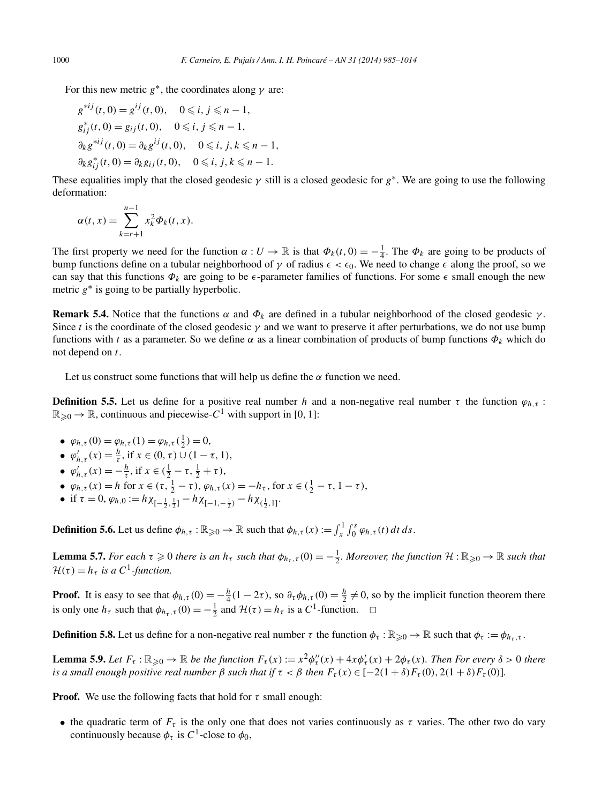For this new metric  $g^*$ , the coordinates along  $\gamma$  are:

$$
g^{*ij}(t, 0) = g^{ij}(t, 0), \quad 0 \le i, j \le n - 1,
$$
  
\n
$$
g_{ij}^*(t, 0) = g_{ij}(t, 0), \quad 0 \le i, j \le n - 1,
$$
  
\n
$$
\partial_k g^{*ij}(t, 0) = \partial_k g^{ij}(t, 0), \quad 0 \le i, j, k \le n - 1,
$$
  
\n
$$
\partial_k g_{ij}^*(t, 0) = \partial_k g_{ij}(t, 0), \quad 0 \le i, j, k \le n - 1.
$$

These equalities imply that the closed geodesic  $\gamma$  still is a closed geodesic for  $g^*$ . We are going to use the following deformation:

$$
\alpha(t,x) = \sum_{k=r+1}^{n-1} x_k^2 \Phi_k(t,x).
$$

The first property we need for the function  $\alpha: U \to \mathbb{R}$  is that  $\Phi_k(t,0) = -\frac{1}{4}$ . The  $\Phi_k$  are going to be products of bump functions define on a tubular neighborhood of  $\gamma$  of radius  $\epsilon < \epsilon_0$ . We need to change  $\epsilon$  along the proof, so we can say that this functions  $\Phi_k$  are going to be  $\epsilon$ -parameter families of functions. For some  $\epsilon$  small enough the new metric *g*<sup>∗</sup> is going to be partially hyperbolic.

**Remark 5.4.** Notice that the functions  $\alpha$  and  $\Phi_k$  are defined in a tubular neighborhood of the closed geodesic  $\gamma$ . Since *t* is the coordinate of the closed geodesic  $\gamma$  and we want to preserve it after perturbations, we do not use bump functions with *t* as a parameter. So we define  $\alpha$  as a linear combination of products of bump functions  $\Phi_k$  which do not depend on *t*.

Let us construct some functions that will help us define the  $\alpha$  function we need.

**Definition 5.5.** Let us define for a positive real number *h* and a non-negative real number *τ* the function  $φ<sub>h,τ</sub>$ :  $\mathbb{R}_{\geqslant 0} \to \mathbb{R}$ , continuous and piecewise- $C^1$  with support in [0, 1]:

- $\varphi_{h,\tau}(0) = \varphi_{h,\tau}(1) = \varphi_{h,\tau}(\frac{1}{2}) = 0,$
- $\varphi'_{h,\tau}(x) = \frac{h}{\tau}$ , if  $x \in (0, \tau) \cup (1 \tau, 1)$ ,
- $\varphi'_{h,\tau}(x) = -\frac{h}{\tau}$ , if  $x \in (\frac{1}{2} \tau, \frac{1}{2} + \tau)$ ,
- $\varphi_{h,\tau}(x) = h$  for  $x \in (\tau, \frac{1}{2} \tau), \varphi_{h,\tau}(x) = -h_{\tau}$ , for  $x \in (\frac{1}{2} \tau, 1 \tau)$ ,
- if  $\tau = 0$ ,  $\varphi_{h,0} := h \chi_{\left[-\frac{1}{2},\frac{1}{2}\right]} h \chi_{\left[-1,-\frac{1}{2}\right)} h \chi_{\left(\frac{1}{2},1\right]}$ .

**Definition 5.6.** Let us define  $\phi_{h,\tau} : \mathbb{R}_{\geqslant 0} \to \mathbb{R}$  such that  $\phi_{h,\tau}(x) := \int_x^1 \int_0^s \varphi_{h,\tau}(t) dt ds$ .

**Lemma 5.7.** *For each*  $\tau \ge 0$  *there is an*  $h_\tau$  *such that*  $\phi_{h_\tau,\tau}(0) = -\frac{1}{2}$ *. Moreover, the function*  $\mathcal{H}: \mathbb{R}_{\ge 0} \to \mathbb{R}$  *such that*  $\mathcal{H}(\tau) = h_{\tau}$  *is a*  $C^1$ *-function.* 

**Proof.** It is easy to see that  $\phi_{h,\tau}(0) = -\frac{h}{4}(1 - 2\tau)$ , so  $\partial_{\tau}\phi_{h,\tau}(0) = \frac{h}{2} \neq 0$ , so by the implicit function theorem there is only one  $h_{\tau}$  such that  $\phi_{h_{\tau},\tau}(0) = -\frac{1}{2}$  and  $\mathcal{H}(\tau) = h_{\tau}$  is a  $C^1$ -function.  $\Box$ 

**Definition 5.8.** Let us define for a non-negative real number  $\tau$  the function  $\phi_{\tau} : \mathbb{R}_{\geqslant 0} \to \mathbb{R}$  such that  $\phi_{\tau} := \phi_{h_{\tau}, \tau}$ .

**Lemma 5.9.** Let  $F_\tau : \mathbb{R}_{\geqslant 0} \to \mathbb{R}$  be the function  $F_\tau(x) := x^2 \phi_\tau''(x) + 4x \phi_\tau'(x) + 2\phi_\tau(x)$ . Then For every  $\delta > 0$  there *is a small enough positive real number*  $\beta$  *such that if*  $\tau < \beta$  *then*  $F_{\tau}(x) \in [-2(1+\delta)F_{\tau}(0), 2(1+\delta)F_{\tau}(0)]$ .

**Proof.** We use the following facts that hold for  $\tau$  small enough:

• the quadratic term of  $F<sub>\tau</sub>$  is the only one that does not varies continuously as  $\tau$  varies. The other two do vary continuously because  $\phi_{\tau}$  is  $C^1$ -close to  $\phi_0$ ,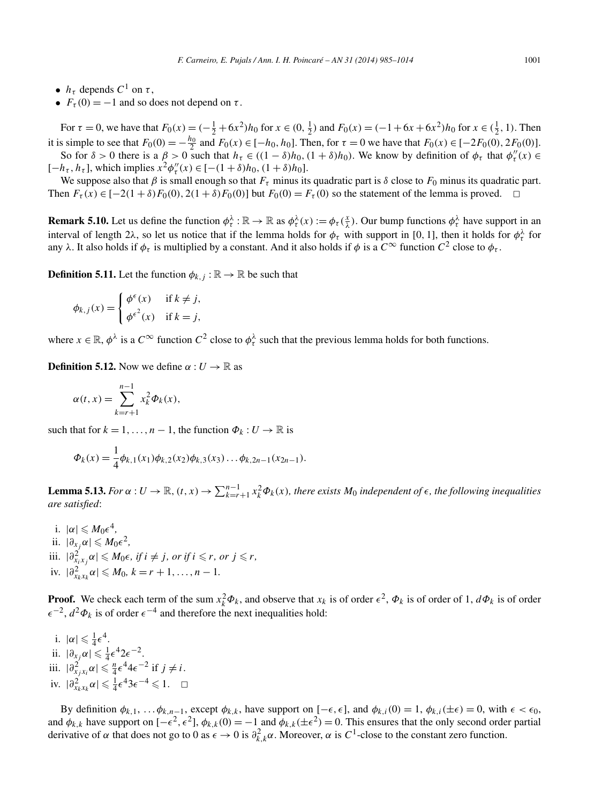- <span id="page-16-0"></span>•  $h_{\tau}$  depends  $C^1$  on  $\tau$ ,
- $F_{\tau}(0) = -1$  and so does not depend on  $\tau$ .

For  $\tau = 0$ , we have that  $F_0(x) = (-\frac{1}{2} + 6x^2)h_0$  for  $x \in (0, \frac{1}{2})$  and  $F_0(x) = (-1 + 6x + 6x^2)h_0$  for  $x \in (\frac{1}{2}, 1)$ . Then it is simple to see that  $F_0(0) = -\frac{h_0}{2}$  and  $F_0(x) \in [-h_0, h_0]$ . Then, for  $\tau = 0$  we have that  $F_0(x) \in [-2F_0(0), 2F_0(0)]$ . So for  $\delta > 0$  there is a  $\beta > 0$  such that  $h_\tau \in ((1 - \delta)h_0, (1 + \delta)h_0)$ . We know by definition of  $\phi_\tau$  that  $\phi_\tau''(x) \in$  $[-h_{\tau}, h_{\tau}]$ , which implies  $x^2 \phi_{\tau}''(x) \in [-(1+\delta)h_0, (1+\delta)h_0]$ .

We suppose also that  $\beta$  is small enough so that  $F_{\tau}$  minus its quadratic part is  $\delta$  close to  $F_0$  minus its quadratic part. Then  $F_\tau(x) \in [-2(1+\delta)F_0(0), 2(1+\delta)F_0(0)]$  but  $F_0(0) = F_\tau(0)$  so the statement of the lemma is proved.  $\Box$ 

**Remark 5.10.** Let us define the function  $\phi_{\tau}^{\lambda}$ :  $\mathbb{R} \to \mathbb{R}$  as  $\phi_{\tau}^{\lambda}(x) := \phi_{\tau}(\frac{x}{\lambda})$ . Our bump functions  $\phi_{\tau}^{\lambda}$  have support in an interval of length 2 $\lambda$ , so let us notice that if the lemma holds for  $\phi_\tau$  with support in [0, 1], then it holds for  $\phi_\tau^{\lambda}$  for any *λ*. It also holds if  $φ_τ$  is multiplied by a constant. And it also holds if  $φ$  is a  $C^\infty$  function  $C^2$  close to  $φ_τ$ .

**Definition 5.11.** Let the function  $\phi_{k,i} : \mathbb{R} \to \mathbb{R}$  be such that

$$
\phi_{k,j}(x) = \begin{cases} \phi^{\epsilon}(x) & \text{if } k \neq j, \\ \phi^{\epsilon^2}(x) & \text{if } k = j, \end{cases}
$$

where  $x \in \mathbb{R}$ ,  $\phi^{\lambda}$  is a  $C^{\infty}$  function  $C^2$  close to  $\phi^{\lambda}$  such that the previous lemma holds for both functions.

**Definition 5.12.** Now we define  $\alpha: U \to \mathbb{R}$  as

$$
\alpha(t,x) = \sum_{k=r+1}^{n-1} x_k^2 \Phi_k(x),
$$

such that for  $k = 1, ..., n - 1$ , the function  $\Phi_k : U \to \mathbb{R}$  is

$$
\Phi_k(x) = \frac{1}{4} \phi_{k,1}(x_1) \phi_{k,2}(x_2) \phi_{k,3}(x_3) \dots \phi_{k,2n-1}(x_{2n-1}).
$$

**Lemma 5.13.** *For*  $\alpha: U \to \mathbb{R}$ ,  $(t, x) \to \sum_{k=r+1}^{n-1} x_k^2 \Phi_k(x)$ , there exists  $M_0$  independent of  $\epsilon$ , the following inequalities *are satisfied*:

i.  $|\alpha| \leqslant M_0 \epsilon^4$ ,  $i\mathrm{i}. \ \ |\partial_{x_j}\alpha| \leqslant M_0 \epsilon^2,$  $\inf_{x_i} \frac{1}{2} \partial_{x_i}^2 x_j \alpha \leqslant M_0 \epsilon, \text{ if } i \neq j, \text{ or if } i \leqslant r, \text{ or } j \leqslant r,$  $| \partial_{x_k x_k}^2 \alpha | \leq M_0, k = r + 1, \ldots, n - 1.$ 

**Proof.** We check each term of the sum  $x_k^2 \Phi_k$ , and observe that  $x_k$  is of order  $\epsilon^2$ ,  $\Phi_k$  is of order of 1,  $d\Phi_k$  is of order  $\epsilon^{-2}$ ,  $d^2\Phi_k$  is of order  $\epsilon^{-4}$  and therefore the next inequalities hold:

i.  $|\alpha| \leq \frac{1}{4} \epsilon^4$ . ii.  $|\partial_{x_j}\alpha| \leqslant \frac{1}{4}\epsilon^4 2\epsilon^{-2}$ . iii.  $|\partial_{x_j x_i}^2 \alpha| \leq \frac{n}{4} \epsilon^4 4 \epsilon^{-2}$  if  $j \neq i$ . iv.  $|\partial_{x_k x_k}^2 \alpha| \leq \frac{1}{4} \epsilon^4 3 \epsilon^{-4} \leq 1. \quad \Box$ 

By definition  $\phi_{k,1}, \ldots, \phi_{k,n-1}$ , except  $\phi_{k,k}$ , have support on  $[-\epsilon, \epsilon]$ , and  $\phi_{k,i}(0) = 1$ ,  $\phi_{k,i}(\pm \epsilon) = 0$ , with  $\epsilon < \epsilon_0$ , and  $\phi_{k,k}$  have support on  $[-\epsilon^2, \epsilon^2]$ ,  $\phi_{k,k}(0) = -1$  and  $\phi_{k,k}(\pm \epsilon^2) = 0$ . This ensures that the only second order partial derivative of  $\alpha$  that does not go to 0 as  $\epsilon \to 0$  is  $\partial^2_{k,k}\alpha$ . Moreover,  $\alpha$  is  $C^1$ -close to the constant zero function.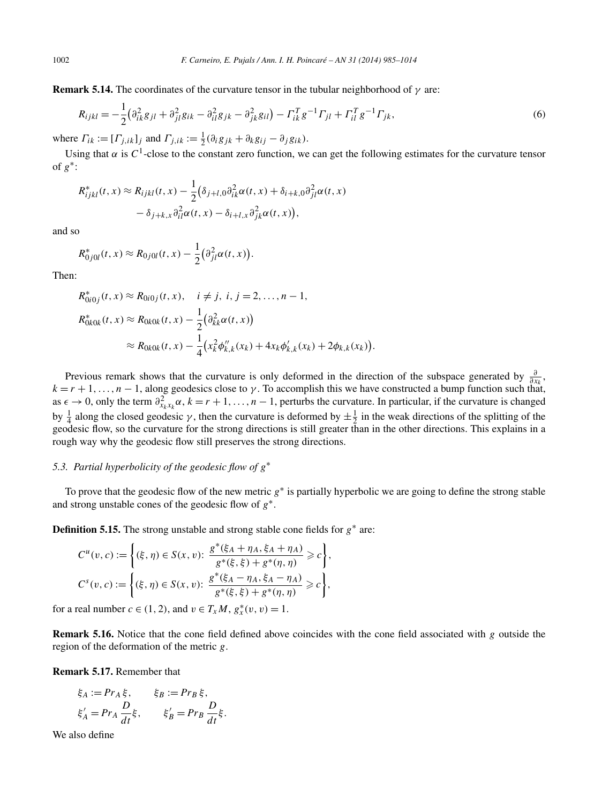<span id="page-17-0"></span>**Remark 5.14.** The coordinates of the curvature tensor in the tubular neighborhood of  $\gamma$  are:

$$
R_{ijkl} = -\frac{1}{2} \left( \partial_{ik}^2 g_{jl} + \partial_{jl}^2 g_{ik} - \partial_{il}^2 g_{jk} - \partial_{jk}^2 g_{il} \right) - \Gamma_{ik}^T g^{-1} \Gamma_{jl} + \Gamma_{il}^T g^{-1} \Gamma_{jk}, \tag{6}
$$

where  $\Gamma_{ik} := [\Gamma_{j,ik}]_j$  and  $\Gamma_{j,ik} := \frac{1}{2} (\partial_i g_{jk} + \partial_k g_{ij} - \partial_j g_{ik}).$ 

Using that  $\alpha$  is  $C^1$ -close to the constant zero function, we can get the following estimates for the curvature tensor of *g*∗:

$$
R_{ijkl}^*(t, x) \approx R_{ijkl}(t, x) - \frac{1}{2} \left( \delta_{j+l,0} \partial_{ik}^2 \alpha(t, x) + \delta_{i+k,0} \partial_{jl}^2 \alpha(t, x) \right. \\ \left. - \delta_{j+k,x} \partial_{il}^2 \alpha(t, x) - \delta_{i+l,x} \partial_{jk}^2 \alpha(t, x) \right),
$$

and so

$$
R_{0j0l}^*(t, x) \approx R_{0j0l}(t, x) - \frac{1}{2} (\partial_{jl}^2 \alpha(t, x)).
$$

Then:

$$
R_{0i0j}^{*}(t, x) \approx R_{0i0j}(t, x), \quad i \neq j, \ i, j = 2, ..., n - 1,
$$
  
\n
$$
R_{0k0k}^{*}(t, x) \approx R_{0k0k}(t, x) - \frac{1}{2} (\partial_{kk}^{2} \alpha(t, x))
$$
  
\n
$$
\approx R_{0k0k}(t, x) - \frac{1}{4} (x_{k}^{2} \phi_{k,k}''(x_{k}) + 4x_{k} \phi_{k,k}'(x_{k}) + 2\phi_{k,k}(x_{k})).
$$

Previous remark shows that the curvature is only deformed in the direction of the subspace generated by  $\frac{\partial}{\partial x_k}$ ,  $k = r + 1, \ldots, n - 1$ , along geodesics close to *γ*. To accomplish this we have constructed a bump function such that, as  $\epsilon \to 0$ , only the term  $\partial_{x_k x_k}^2 \alpha$ ,  $k = r + 1, \ldots, n - 1$ , perturbs the curvature. In particular, if the curvature is changed by  $\frac{1}{4}$  along the closed geodesic *γ*, then the curvature is deformed by  $\pm \frac{1}{2}$  in the weak directions of the splitting of the geodesic flow, so the curvature for the strong directions is still greater than in the other directions. This explains in a rough way why the geodesic flow still preserves the strong directions.

# *5.3. Partial hyperbolicity of the geodesic flow of g*<sup>∗</sup>

To prove that the geodesic flow of the new metric *g*<sup>∗</sup> is partially hyperbolic we are going to define the strong stable and strong unstable cones of the geodesic flow of *g*∗.

**Definition 5.15.** The strong unstable and strong stable cone fields for *g*<sup>∗</sup> are:

$$
C^{u}(v, c) := \left\{ (\xi, \eta) \in S(x, v): \frac{g^{*}(\xi_{A} + \eta_{A}, \xi_{A} + \eta_{A})}{g^{*}(\xi, \xi) + g^{*}(\eta, \eta)} \geq c \right\},\newline C^{s}(v, c) := \left\{ (\xi, \eta) \in S(x, v): \frac{g^{*}(\xi_{A} - \eta_{A}, \xi_{A} - \eta_{A})}{g^{*}(\xi, \xi) + g^{*}(\eta, \eta)} \geq c \right\},\newline
$$

for a real number *c*  $\in$  (1, 2), and  $v \in T_xM$ ,  $g_x^*(v, v) = 1$ .

**Remark 5.16.** Notice that the cone field defined above coincides with the cone field associated with *g* outside the region of the deformation of the metric *g*.

**Remark 5.17.** Remember that

$$
\xi_A := Pr_A \xi, \qquad \xi_B := Pr_B \xi, \n\xi'_A = Pr_A \frac{D}{dt} \xi, \qquad \xi'_B = Pr_B \frac{D}{dt} \xi.
$$

We also define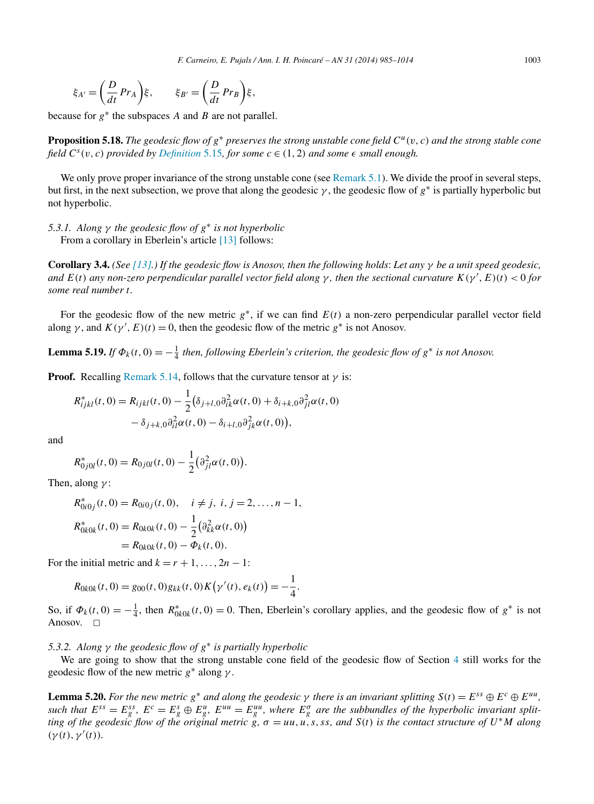<span id="page-18-0"></span>
$$
\xi_{A'} = \left(\frac{D}{dt} Pr_A\right) \xi, \qquad \xi_{B'} = \left(\frac{D}{dt} Pr_B\right) \xi,
$$

because for  $g^*$  the subspaces *A* and *B* are not parallel.

**Proposition 5.18.** The geodesic flow of  $g^*$  preserves the strong unstable cone field  $C^u(v, c)$  and the strong stable cone *field*  $C^s(v, c)$  *provided by [Definition](#page-17-0)* 5.15*, for some*  $c \in (1, 2)$  *and some*  $\epsilon$  *small enough.* 

We only prove proper invariance of the strong unstable cone (see [Remark](#page-13-0) 5.1). We divide the proof in several steps, but first, in the next subsection, we prove that along the geodesic *γ* , the geodesic flow of *g*<sup>∗</sup> is partially hyperbolic but not hyperbolic.

*5.3.1. Along γ the geodesic flow of g*<sup>∗</sup> *is not hyperbolic* From a corollary in Eberlein's article [\[13\]](#page-28-0) follows:

**Corollary 3.4.** *(See [\[13\].](#page-28-0)) If the geodesic flow is Anosov, then the following holds*: *Let any γ be a unit speed geodesic, and*  $E(t)$  any non-zero perpendicular parallel vector field along  $\gamma$ , then the sectional curvature  $K(\gamma', E)(t) < 0$  for *some real number t.*

For the geodesic flow of the new metric *g*∗, if we can find *E(t)* a non-zero perpendicular parallel vector field along *γ*, and  $K(\gamma', E)(t) = 0$ , then the geodesic flow of the metric  $g^*$  is not Anosov.

**Lemma 5.19.** *If*  $\Phi_k(t,0) = -\frac{1}{4}$  *then, following Eberlein's criterion, the geodesic flow of*  $g^*$  *is not Anosov.* 

**Proof.** Recalling [Remark 5.14,](#page-17-0) follows that the curvature tensor at  $\gamma$  is:

$$
R_{ijkl}^*(t,0) = R_{ijkl}(t,0) - \frac{1}{2} (\delta_{j+l,0} \partial_{ik}^2 \alpha(t,0) + \delta_{i+k,0} \partial_{jl}^2 \alpha(t,0) - \delta_{j+k,0} \partial_{il}^2 \alpha(t,0)) - \delta_{i+l,0} \partial_{jk}^2 \alpha(t,0)),
$$

and

$$
R_{0j0l}^*(t,0) = R_{0j0l}(t,0) - \frac{1}{2}(\partial_{jl}^2 \alpha(t,0)).
$$

Then, along *γ* :

$$
R_{0i0j}^{*}(t, 0) = R_{0i0j}(t, 0), \quad i \neq j, \ i, j = 2, ..., n - 1,
$$
  
\n
$$
R_{0k0k}^{*}(t, 0) = R_{0k0k}(t, 0) - \frac{1}{2} (\partial_{kk}^{2} \alpha(t, 0))
$$
  
\n
$$
= R_{0k0k}(t, 0) - \Phi_{k}(t, 0).
$$

For the initial metric and  $k = r + 1, \ldots, 2n - 1$ :

$$
R_{0k0k}(t,0) = g_{00}(t,0)g_{kk}(t,0)K(\gamma'(t),e_k(t)) = -\frac{1}{4}.
$$

So, if  $\Phi_k(t,0) = -\frac{1}{4}$ , then  $R_{0k0k}^*(t,0) = 0$ . Then, Eberlein's corollary applies, and the geodesic flow of  $g^*$  is not Anosov.  $\square$ 

# *5.3.2. Along γ the geodesic flow of g*<sup>∗</sup> *is partially hyperbolic*

We are going to show that the strong unstable cone field of the geodesic flow of Section [4](#page-9-0) still works for the geodesic flow of the new metric *g*<sup>∗</sup> along *γ* .

**Lemma 5.20.** For the new metric  $g^*$  and along the geodesic  $\gamma$  there is an invariant splitting  $S(t) = E^{ss} \oplus E^c \oplus E^{uu}$ , such that  $E^{ss} = E^{ss}_g$ ,  $E^c = E^s_g \oplus E^u_g$ ,  $E^{uu} = E^{uu}_g$ , where  $E^{\sigma}_g$  are the subbundles of the hyperbolic invariant split*ting of the geodesic flow of the original metric g, σ* = *uu,u,s,ss, and S(t) is the contact structure of U*∗*M along*  $(\gamma(t), \gamma'(t)).$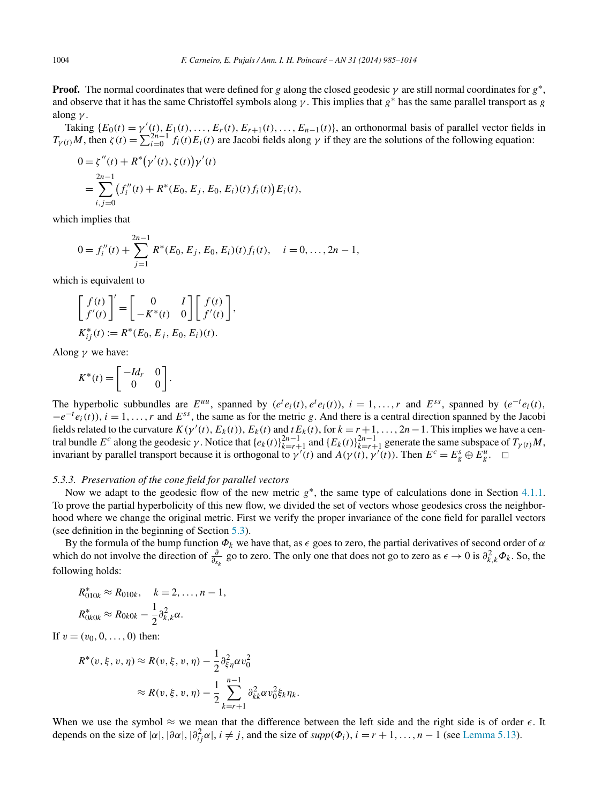<span id="page-19-0"></span>**Proof.** The normal coordinates that were defined for *g* along the closed geodesic  $\gamma$  are still normal coordinates for  $g^*$ , and observe that it has the same Christoffel symbols along *γ* . This implies that *g*<sup>∗</sup> has the same parallel transport as *g* along *γ* .

Taking  $\{E_0(t) = \gamma'(t), E_1(t), \ldots, E_r(t), E_{r+1}(t), \ldots, E_{n-1}(t)\}$ , an orthonormal basis of parallel vector fields in  $T_{\gamma(t)}M$ , then  $\zeta(t) = \sum_{i=0}^{2n-1} f_i(t)E_i(t)$  are Jacobi fields along  $\gamma$  if they are the solutions of the following equation:

$$
0 = \zeta''(t) + R^*(\gamma'(t), \zeta(t))\gamma'(t)
$$
  
= 
$$
\sum_{i,j=0}^{2n-1} (f_i''(t) + R^*(E_0, E_j, E_0, E_i)(t) f_i(t)) E_i(t),
$$

which implies that

$$
0 = f_i''(t) + \sum_{j=1}^{2n-1} R^*(E_0, E_j, E_0, E_i)(t) f_i(t), \quad i = 0, ..., 2n-1,
$$

which is equivalent to

$$
\begin{bmatrix} f(t) \\ f'(t) \end{bmatrix}' = \begin{bmatrix} 0 & I \\ -K^*(t) & 0 \end{bmatrix} \begin{bmatrix} f(t) \\ f'(t) \end{bmatrix},
$$
  

$$
K_{ij}^*(t) := R^*(E_0, E_j, E_0, E_i)(t).
$$

Along  $\gamma$  we have:

$$
K^*(t) = \begin{bmatrix} -Id_r & 0 \\ 0 & 0 \end{bmatrix}.
$$

The hyperbolic subbundles are  $E^{uu}$ , spanned by  $(e^t e_i(t), e^t e_i(t))$ ,  $i = 1, ..., r$  and  $E^{ss}$ , spanned by  $(e^{-t} e_i(t))$ ,  $-e^{-t}e_i(t)$ ,  $i = 1, \ldots, r$  and  $E^{ss}$ , the same as for the metric *g*. And there is a central direction spanned by the Jacobi fields related to the curvature  $K(\gamma'(t), E_k(t))$ ,  $E_k(t)$  and  $tE_k(t)$ , for  $k = r + 1, \ldots, 2n - 1$ . This implies we have a central bundle  $E^c$  along the geodesic *γ*. Notice that  $\{e_k(t)\}_{k=r+1}^{2n-1}$  and  $\{E_k(t)\}_{k=r+1}^{2n-1}$  generate the same subspace of  $T_{\gamma(t)}M$ , invariant by parallel transport because it is orthogonal to  $\gamma'(t)$  and  $A(\gamma(t), \gamma'(t))$ . Then  $E^c = E^s_g \oplus E^u_g$ .  $\Box$ 

#### *5.3.3. Preservation of the cone field for parallel vectors*

Now we adapt to the geodesic flow of the new metric *g*∗, the same type of calculations done in Section [4.1.1.](#page-11-0) To prove the partial hyperbolicity of this new flow, we divided the set of vectors whose geodesics cross the neighborhood where we change the original metric. First we verify the proper invariance of the cone field for parallel vectors (see definition in the beginning of Section [5.3\)](#page-17-0).

By the formula of the bump function  $\Phi_k$  we have that, as  $\epsilon$  goes to zero, the partial derivatives of second order of  $\alpha$ which do not involve the direction of  $\frac{\partial}{\partial x_k}$  go to zero. The only one that does not go to zero as  $\epsilon \to 0$  is  $\partial^2_{k,k} \Phi_k$ . So, the following holds:

$$
R_{010k}^{*} \approx R_{010k}, \quad k = 2, ..., n - 1,
$$
  

$$
R_{0k0k}^{*} \approx R_{0k0k} - \frac{1}{2} \partial_{k,k}^{2} \alpha.
$$

If  $v = (v_0, 0, \ldots, 0)$  then:

$$
R^*(v, \xi, v, \eta) \approx R(v, \xi, v, \eta) - \frac{1}{2} \partial_{\xi \eta}^2 \alpha v_0^2
$$
  
 
$$
\approx R(v, \xi, v, \eta) - \frac{1}{2} \sum_{k=r+1}^{n-1} \partial_{kk}^2 \alpha v_0^2 \xi_k \eta_k.
$$

When we use the symbol  $\approx$  we mean that the difference between the left side and the right side is of order  $\epsilon$ . It depends on the size of  $|\alpha|, |\partial \alpha|, |\partial_{ij}^2 \alpha|, i \neq j$ , and the size of  $supp(\Phi_i), i = r + 1, \ldots, n - 1$  (see [Lemma 5.13\)](#page-16-0).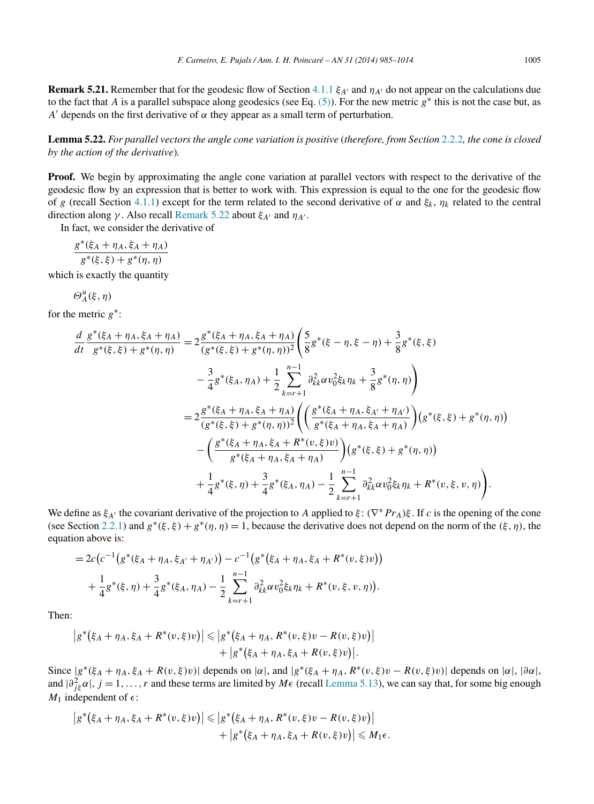**Remark 5.21.** Remember that for the geodesic flow of Section [4.1.1](#page-11-0)  $\xi_{A'}$  and  $\eta_{A'}$  do not appear on the calculations due to the fact that *A* is a parallel subspace along geodesics (see Eq. [\(5\)\)](#page-11-0). For the new metric  $g^*$  this is not the case but, as *A*<sup> $\prime$ </sup> depends on the first derivative of  $\alpha$  they appear as a small term of perturbation.

**Lemma 5.22.** *For parallel vectors the angle cone variation is positive* (*therefore, from Section* [2.2.2](#page-6-0)*, the cone is closed by the action of the derivative*)*.*

**Proof.** We begin by approximating the angle cone variation at parallel vectors with respect to the derivative of the geodesic flow by an expression that is better to work with. This expression is equal to the one for the geodesic flow of *g* (recall Section [4.1.1\)](#page-11-0) except for the term related to the second derivative of  $\alpha$  and  $\xi_k$ ,  $\eta_k$  related to the central direction along *γ*. Also recall Remark 5.22 about  $\xi_{A'}$  and  $\eta_{A'}$ .

In fact, we consider the derivative of

$$
\frac{g^*(\xi_A + \eta_A, \xi_A + \eta_A)}{g^*(\xi, \xi) + g^*(\eta, \eta)}
$$

which is exactly the quantity

$$
\Theta^u_A(\xi,\eta)
$$

for the metric *g*∗:

$$
\frac{d}{dt} \frac{g^*(\xi_A + \eta_A, \xi_A + \eta_A)}{g^*(\xi, \xi) + g^*(\eta, \eta)} = 2 \frac{g^*(\xi_A + \eta_A, \xi_A + \eta_A)}{(g^*(\xi, \xi) + g^*(\eta, \eta))^2} \left( \frac{5}{8} g^*(\xi - \eta, \xi - \eta) + \frac{3}{8} g^*(\xi, \xi) \right.\n- \frac{3}{4} g^*(\xi_A, \eta_A) + \frac{1}{2} \sum_{k=r+1}^{n-1} \partial_{kk}^2 \alpha v_0^2 \xi_k \eta_k + \frac{3}{8} g^*(\eta, \eta) \right)\n= 2 \frac{g^*(\xi_A + \eta_A, \xi_A + \eta_A)}{(g^*(\xi, \xi) + g^*(\eta, \eta))^2} \left( \left( \frac{g^*(\xi_A + \eta_A, \xi_A + \eta_A)}{g^*(\xi_A + \eta_A, \xi_A + \eta_A)} \right) (g^*(\xi, \xi) + g^*(\eta, \eta)) \right)\n- \left( \frac{g^*(\xi_A + \eta_A, \xi_A + R^*(v, \xi)v)}{g^*(\xi_A + \eta_A, \xi_A + \eta_A)} \right) (g^*(\xi, \xi) + g^*(\eta, \eta))\n+ \frac{1}{4} g^*(\xi, \eta) + \frac{3}{4} g^*(\xi_A, \eta_A) - \frac{1}{2} \sum_{k=r+1}^{n-1} \partial_{kk}^2 \alpha v_0^2 \xi_k \eta_k + R^*(v, \xi, v, \eta) \right).
$$

We define as  $\xi_{A'}$  the covariant derivative of the projection to *A* applied to  $\xi$ :  $(\nabla^* P_A)\xi$ . If *c* is the opening of the cone (see Section [2.2.1\)](#page-6-0) and  $g^*(\xi, \xi) + g^*(\eta, \eta) = 1$ , because the derivative does not depend on the norm of the  $(\xi, \eta)$ , the equation above is:

$$
=2c(c^{-1}(g^*(\xi_A+\eta_A,\xi_{A'}+\eta_{A'}))-c^{-1}(g^*(\xi_A+\eta_A,\xi_A+R^*(v,\xi)v))
$$
  
+ $\frac{1}{4}g^*(\xi,\eta)+\frac{3}{4}g^*(\xi_A,\eta_A)-\frac{1}{2}\sum_{k=r+1}^{n-1}\partial^2_{kk}\alpha v_0^2\xi_k\eta_k+R^*(v,\xi,v,\eta)).$ 

Then:

$$
\left| g^*(\xi_A + \eta_A, \xi_A + R^*(v, \xi)v) \right| \leq \left| g^*(\xi_A + \eta_A, R^*(v, \xi)v - R(v, \xi)v) \right| + \left| g^*(\xi_A + \eta_A, \xi_A + R(v, \xi)v) \right|.
$$

Since  $|g^*(\xi_A + \eta_A, \xi_A + R(v, \xi)v)|$  depends on  $|\alpha|$ , and  $|g^*(\xi_A + \eta_A, R^*(v, \xi)v - R(v, \xi)v)|$  depends on  $|\alpha|$ ,  $|\partial \alpha|$ , and  $|\partial^2_{j\xi}\alpha|, j = 1,\ldots,r$  and these terms are limited by  $M\epsilon$  (recall [Lemma 5.13\)](#page-16-0), we can say that, for some big enough  $M_1$  independent of  $\epsilon$ :

$$
\begin{aligned} |g^*(\xi_A + \eta_A, \xi_A + R^*(v, \xi)v)| \leq |g^*(\xi_A + \eta_A, R^*(v, \xi)v - R(v, \xi)v)| \\ &+ |g^*(\xi_A + \eta_A, \xi_A + R(v, \xi)v)| \leq M_1 \epsilon. \end{aligned}
$$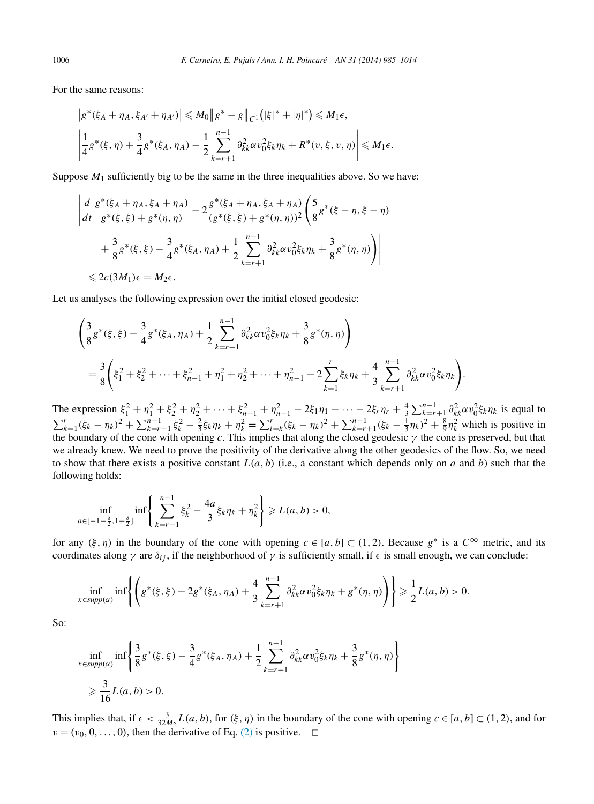For the same reasons:

$$
\left| g^*(\xi_A + \eta_A, \xi_{A'} + \eta_{A'}) \right| \leq M_0 \| g^* - g \|_{C^1} (|\xi|^* + |\eta|^*) \leq M_1 \epsilon,
$$
  

$$
\left| \frac{1}{4} g^*(\xi, \eta) + \frac{3}{4} g^*(\xi_A, \eta_A) - \frac{1}{2} \sum_{k=r+1}^{n-1} \partial_{kk}^2 \alpha v_0^2 \xi_k \eta_k + R^*(v, \xi, v, \eta) \right| \leq M_1 \epsilon.
$$

Suppose  $M_1$  sufficiently big to be the same in the three inequalities above. So we have:

$$
\left| \frac{d}{dt} \frac{g^*(\xi_A + \eta_A, \xi_A + \eta_A)}{g^*(\xi, \xi) + g^*(\eta, \eta)} - 2 \frac{g^*(\xi_A + \eta_A, \xi_A + \eta_A)}{(g^*(\xi, \xi) + g^*(\eta, \eta))^2} \right| \frac{5}{8} g^*(\xi - \eta, \xi - \eta)
$$

$$
+ \frac{3}{8} g^*(\xi, \xi) - \frac{3}{4} g^*(\xi_A, \eta_A) + \frac{1}{2} \sum_{k=r+1}^{n-1} \partial_{kk}^2 \alpha v_0^2 \xi_k \eta_k + \frac{3}{8} g^*(\eta, \eta) \right|
$$

$$
\leq 2c(3M_1)\epsilon = M_2\epsilon.
$$

Let us analyses the following expression over the initial closed geodesic:

$$
\begin{split}\n&\left(\frac{3}{8}g^*(\xi,\xi)-\frac{3}{4}g^*(\xi_A,\eta_A)+\frac{1}{2}\sum_{k=r+1}^{n-1}\partial_{kk}^2\alpha v_0^2\xi_k\eta_k+\frac{3}{8}g^*(\eta,\eta)\right) \\
&=\frac{3}{8}\left(\xi_1^2+\xi_2^2+\cdots+\xi_{n-1}^2+\eta_1^2+\eta_2^2+\cdots+\eta_{n-1}^2-2\sum_{k=1}^r\xi_k\eta_k+\frac{4}{3}\sum_{k=r+1}^{n-1}\partial_{kk}^2\alpha v_0^2\xi_k\eta_k\right).\n\end{split}
$$

The expression  $\xi_1^2 + \eta_1^2 + \xi_2^2 + \eta_2^2 + \cdots + \xi_{n-1}^2 + \eta_{n-1}^2 - 2\xi_1\eta_1 - \cdots - 2\xi_r\eta_r + \frac{4}{3}\sum_{k=r+1}^{n-1} \frac{\partial^2_{kk}\alpha v_0^2 \xi_k \eta_k}{\partial k}$  is equal to  $\sum_{k=1}^{r} (\xi_k - \eta_k)^2 + \sum_{k=r+1}^{n-1} \xi_k^2 - \frac{2}{3} \xi_k \eta_k + \eta_k^2 = \sum_{i=k}^{r} (\xi_k - \eta_k)^2 + \sum_{k=r+1}^{n-1} (\xi_k - \frac{1}{3} \eta_k)^2 + \frac{8}{9} \eta_k^2$  which is positive in the boundary of the cone with opening *c*. This implies that along the closed geodesic  $\gamma$  the cone is preserved, but that we already knew. We need to prove the positivity of the derivative along the other geodesics of the flow. So, we need to show that there exists a positive constant  $L(a, b)$  (i.e., a constant which depends only on *a* and *b*) such that the following holds:

$$
\inf_{a \in [-1-\frac{\delta}{2}, 1+\frac{\delta}{2}]} \inf \left\{ \sum_{k=r+1}^{n-1} \xi_k^2 - \frac{4a}{3} \xi_k \eta_k + \eta_k^2 \right\} \ge L(a, b) > 0,
$$

for any  $(\xi, \eta)$  in the boundary of the cone with opening  $c \in [a, b] \subset (1, 2)$ . Because  $g^*$  is a  $C^{\infty}$  metric, and its coordinates along  $\gamma$  are  $\delta_{ij}$ , if the neighborhood of  $\gamma$  is sufficiently small, if  $\epsilon$  is small enough, we can conclude:

$$
\inf_{x \in \text{supp}(\alpha)} \inf \left\{ \left( g^*(\xi, \xi) - 2g^*(\xi_A, \eta_A) + \frac{4}{3} \sum_{k=r+1}^{n-1} \partial_{kk}^2 \alpha v_0^2 \xi_k \eta_k + g^*(\eta, \eta) \right) \right\} \geq \frac{1}{2} L(a, b) > 0.
$$

So:

$$
\inf_{x \in \text{supp}(\alpha)} \inf \left\{ \frac{3}{8} g^*(\xi, \xi) - \frac{3}{4} g^*(\xi_A, \eta_A) + \frac{1}{2} \sum_{k=r+1}^{n-1} \partial_{kk}^2 \alpha v_0^2 \xi_k \eta_k + \frac{3}{8} g^*(\eta, \eta) \right\}
$$
  
\n
$$
\geq \frac{3}{16} L(a, b) > 0.
$$

This implies that, if  $\epsilon < \frac{3}{32M_2} L(a, b)$ , for  $(\xi, \eta)$  in the boundary of the cone with opening  $c \in [a, b] \subset (1, 2)$ , and for  $v = (v_0, 0, \ldots, 0)$ , then the derivative of Eq. [\(2\)](#page-6-0) is positive.  $\Box$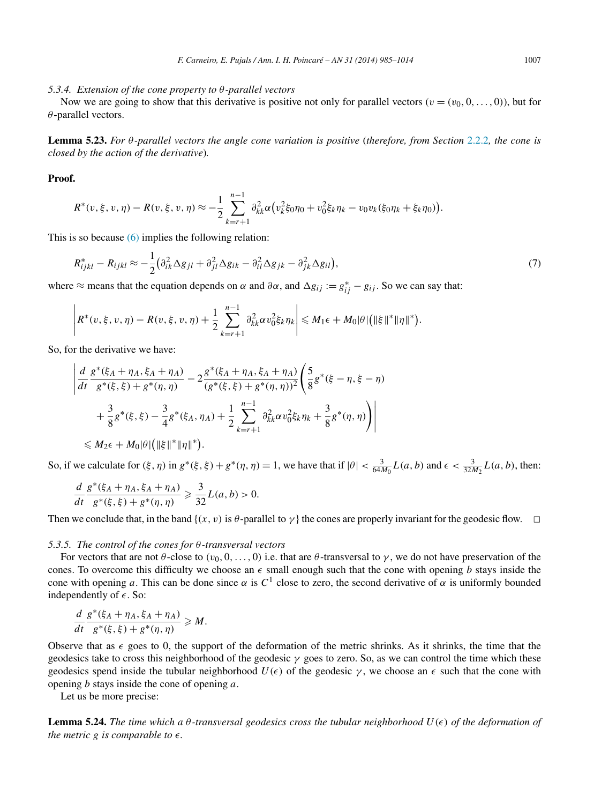#### <span id="page-22-0"></span>*5.3.4. Extension of the cone property to θ -parallel vectors*

Now we are going to show that this derivative is positive not only for parallel vectors  $(v = (v_0, 0, \ldots, 0))$ , but for *θ* -parallel vectors.

**Lemma 5.23.** *For θ -parallel vectors the angle cone variation is positive* (*therefore, from Section* [2.2.2](#page-6-0)*, the cone is closed by the action of the derivative*)*.*

# **Proof.**

$$
R^*(v,\xi,v,\eta) - R(v,\xi,v,\eta) \approx -\frac{1}{2} \sum_{k=r+1}^{n-1} \partial_{kk}^2 \alpha \big( v_k^2 \xi_0 \eta_0 + v_0^2 \xi_k \eta_k - v_0 v_k (\xi_0 \eta_k + \xi_k \eta_0) \big).
$$

This is so because [\(6\)](#page-17-0) implies the following relation:

$$
R_{ijkl}^* - R_{ijkl} \approx -\frac{1}{2} \left( \partial_{ik}^2 \Delta g_{jl} + \partial_{jl}^2 \Delta g_{ik} - \partial_{il}^2 \Delta g_{jk} - \partial_{jk}^2 \Delta g_{il} \right),\tag{7}
$$

where  $\approx$  means that the equation depends on  $\alpha$  and  $\partial \alpha$ , and  $\Delta g_{ij} := g_{ij}^* - g_{ij}$ . So we can say that:

$$
\left|R^*(v,\xi,v,\eta)-R(v,\xi,v,\eta)+\frac{1}{2}\sum_{k=r+1}^{n-1}\partial_{kk}^2\alpha v_0^2\xi_k\eta_k\right|\leq M_1\epsilon+M_0|\theta|\big(|\xi|^*\|\eta\|^*\big).
$$

So, for the derivative we have:

$$
\left| \frac{d}{dt} \frac{g^*(\xi_A + \eta_A, \xi_A + \eta_A)}{g^*(\xi, \xi) + g^*(\eta, \eta)} - 2 \frac{g^*(\xi_A + \eta_A, \xi_A + \eta_A)}{(g^*(\xi, \xi) + g^*(\eta, \eta))^2} \left( \frac{5}{8} g^*(\xi - \eta, \xi - \eta) \right) \right|
$$
  
+ 
$$
\frac{3}{8} g^*(\xi, \xi) - \frac{3}{4} g^*(\xi_A, \eta_A) + \frac{1}{2} \sum_{k=r+1}^{n-1} \frac{3}{2} g^2 k \alpha v_0^2 \xi_k \eta_k + \frac{3}{8} g^*(\eta, \eta) \right) \right|
$$
  

$$
\leq M_2 \epsilon + M_0 |\theta| \left( \| \xi \|^* \|\eta \|^* \right).
$$

So, if we calculate for  $(\xi, \eta)$  in  $g^*(\xi, \xi) + g^*(\eta, \eta) = 1$ , we have that if  $|\theta| < \frac{3}{64M_0}L(a, b)$  and  $\epsilon < \frac{3}{32M_2}L(a, b)$ , then:

$$
\frac{d}{dt}\frac{g^*(\xi_A + \eta_A, \xi_A + \eta_A)}{g^*(\xi, \xi) + g^*(\eta, \eta)} \ge \frac{3}{32}L(a, b) > 0.
$$

Then we conclude that, in the band  $\{(x, v)$  is  $\theta$ -parallel to  $\gamma\}$  the cones are properly invariant for the geodesic flow.

#### *5.3.5. The control of the cones for θ -transversal vectors*

For vectors that are not  $\theta$ -close to  $(v_0, 0, \ldots, 0)$  i.e. that are  $\theta$ -transversal to  $\gamma$ , we do not have preservation of the cones. To overcome this difficulty we choose an  $\epsilon$  small enough such that the cone with opening *b* stays inside the cone with opening *a*. This can be done since *α* is  $C<sup>1</sup>$  close to zero, the second derivative of *α* is uniformly bounded independently of  $\epsilon$ . So:

$$
\frac{d}{dt}\frac{g^*(\xi_A+\eta_A,\xi_A+\eta_A)}{g^*(\xi,\xi)+g^*(\eta,\eta)}\geqslant M.
$$

Observe that as  $\epsilon$  goes to 0, the support of the deformation of the metric shrinks. As it shrinks, the time that the geodesics take to cross this neighborhood of the geodesic *γ* goes to zero. So, as we can control the time which these geodesics spend inside the tubular neighborhood  $U(\epsilon)$  of the geodesic  $\gamma$ , we choose an  $\epsilon$  such that the cone with opening *b* stays inside the cone of opening *a*.

Let us be more precise:

**Lemma 5.24.** *The time which a*  $\theta$ -transversal geodesics cross the tubular neighborhood  $U(\epsilon)$  of the deformation of *the metric*  $g$  *is comparable to*  $\epsilon$ *.*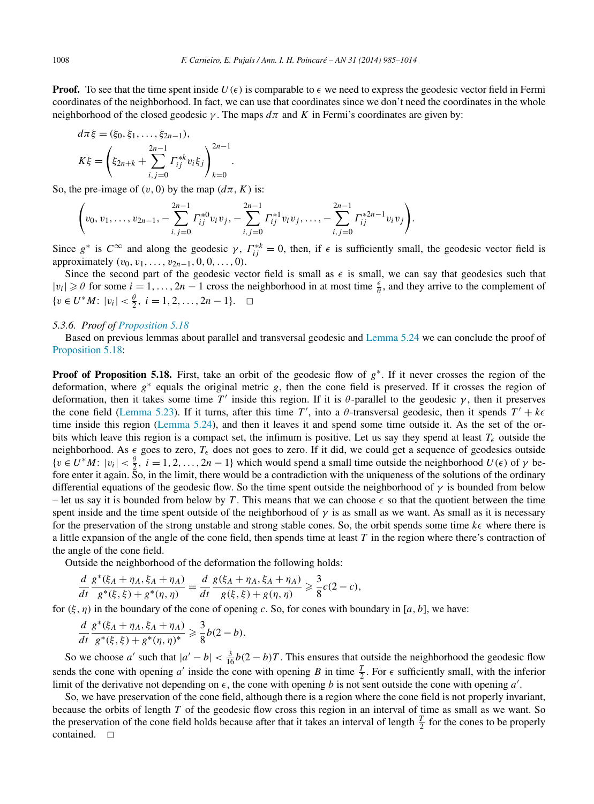<span id="page-23-0"></span>**Proof.** To see that the time spent inside  $U(\epsilon)$  is comparable to  $\epsilon$  we need to express the geodesic vector field in Fermi coordinates of the neighborhood. In fact, we can use that coordinates since we don't need the coordinates in the whole neighborhood of the closed geodesic  $\gamma$ . The maps  $d\pi$  and K in Fermi's coordinates are given by:

$$
d\pi \xi = (\xi_0, \xi_1, \dots, \xi_{2n-1}),
$$
  
\n
$$
K\xi = \left(\xi_{2n+k} + \sum_{i,j=0}^{2n-1} \Gamma_{ij}^{*k} v_i \xi_j\right)_{k=0}^{2n-1}.
$$

So, the pre-image of  $(v, 0)$  by the map  $(d\pi, K)$  is:

$$
\left(v_0, v_1, \ldots, v_{2n-1}, -\sum_{i,j=0}^{2n-1} \Gamma_{ij}^{*0} v_i v_j, -\sum_{i,j=0}^{2n-1} \Gamma_{ij}^{*1} v_i v_j, \ldots, -\sum_{i,j=0}^{2n-1} \Gamma_{ij}^{*2n-1} v_i v_j\right).
$$

Since  $g^*$  is  $C^\infty$  and along the geodesic  $\gamma$ ,  $\Gamma_{ij}^{*k} = 0$ , then, if  $\epsilon$  is sufficiently small, the geodesic vector field is approximately  $(v_0, v_1, \ldots, v_{2n-1}, 0, 0, \ldots, 0)$ .

Since the second part of the geodesic vector field is small as  $\epsilon$  is small, we can say that geodesics such that  $|v_i| \geq \theta$  for some  $i = 1, ..., 2n - 1$  cross the neighborhood in at most time  $\frac{\epsilon}{\theta}$ , and they arrive to the complement of { $v ∈ U^*M$ :  $|v_i| < \frac{\theta}{2}$ ,  $i = 1, 2, ..., 2n - 1$ }. <del></del>◯

## *5.3.6. Proof of [Proposition 5.18](#page-18-0)*

Based on previous lemmas about parallel and transversal geodesic and [Lemma](#page-22-0) 5.24 we can conclude the proof of [Proposition 5.18:](#page-18-0)

**Proof of Proposition 5.18.** First, take an orbit of the geodesic flow of  $g^*$ . If it never crosses the region of the deformation, where *g*<sup>∗</sup> equals the original metric *g*, then the cone field is preserved. If it crosses the region of deformation, then it takes some time *T'* inside this region. If it is  $\theta$ -parallel to the geodesic  $\gamma$ , then it preserves the cone field [\(Lemma 5.23\)](#page-22-0). If it turns, after this time *T'*, into a  $\theta$ -transversal geodesic, then it spends  $T' + k\epsilon$ time inside this region [\(Lemma 5.24\)](#page-22-0), and then it leaves it and spend some time outside it. As the set of the orbits which leave this region is a compact set, the infimum is positive. Let us say they spend at least  $T_{\epsilon}$  outside the neighborhood. As  $\epsilon$  goes to zero,  $T_{\epsilon}$  does not goes to zero. If it did, we could get a sequence of geodesics outside  ${v \in U^*M: |v_i| < \frac{\theta}{2}, i = 1, 2, ..., 2n - 1}$  which would spend a small time outside the neighborhood  $U(\epsilon)$  of  $\gamma$  before enter it again. So, in the limit, there would be a contradiction with the uniqueness of the solutions of the ordinary differential equations of the geodesic flow. So the time spent outside the neighborhood of *γ* is bounded from below – let us say it is bounded from below by *T*. This means that we can choose  $\epsilon$  so that the quotient between the time spent inside and the time spent outside of the neighborhood of  $\gamma$  is as small as we want. As small as it is necessary for the preservation of the strong unstable and strong stable cones. So, the orbit spends some time  $k\epsilon$  where there is a little expansion of the angle of the cone field, then spends time at least *T* in the region where there's contraction of the angle of the cone field.

Outside the neighborhood of the deformation the following holds:

$$
\frac{d}{dt}\frac{g^*(\xi_A+\eta_A,\xi_A+\eta_A)}{g^*(\xi,\xi)+g^*(\eta,\eta)}=\frac{d}{dt}\frac{g(\xi_A+\eta_A,\xi_A+\eta_A)}{g(\xi,\xi)+g(\eta,\eta)}\geq \frac{3}{8}c(2-c),
$$

for  $(\xi, \eta)$  in the boundary of the cone of opening *c*. So, for cones with boundary in [*a*, *b*], we have:

$$
\frac{d}{dt}\frac{g^*(\xi_A+\eta_A,\xi_A+\eta_A)}{g^*(\xi,\xi)+g^*(\eta,\eta)^*} \geq \frac{3}{8}b(2-b).
$$

So we choose *a'* such that  $|a' - b| < \frac{3}{16}b(2 - b)T$ . This ensures that outside the neighborhood the geodesic flow sends the cone with opening *a'* inside the cone with opening *B* in time  $\frac{T}{2}$ . For  $\epsilon$  sufficiently small, with the inferior limit of the derivative not depending on  $\epsilon$ , the cone with opening *b* is not sent outside the cone with opening *a*'.

So, we have preservation of the cone field, although there is a region where the cone field is not properly invariant, because the orbits of length *T* of the geodesic flow cross this region in an interval of time as small as we want. So the preservation of the cone field holds because after that it takes an interval of length  $\frac{T}{2}$  for the cones to be properly contained.  $\square$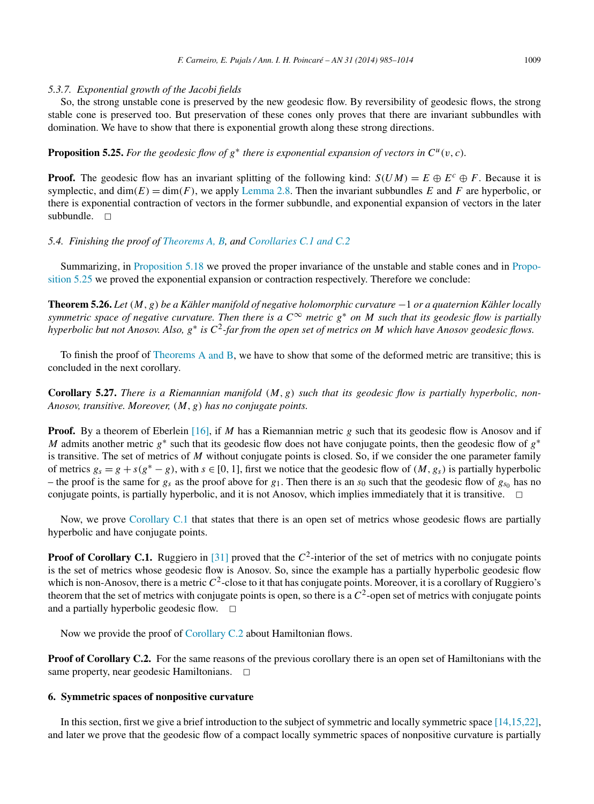## <span id="page-24-0"></span>*5.3.7. Exponential growth of the Jacobi fields*

So, the strong unstable cone is preserved by the new geodesic flow. By reversibility of geodesic flows, the strong stable cone is preserved too. But preservation of these cones only proves that there are invariant subbundles with domination. We have to show that there is exponential growth along these strong directions.

**Proposition 5.25.** For the geodesic flow of  $g^*$  there is exponential expansion of vectors in  $C^u(v, c)$ *.* 

**Proof.** The geodesic flow has an invariant splitting of the following kind:  $S(UM) = E \oplus E^c \oplus F$ . Because it is symplectic, and  $\dim(E) = \dim(F)$ , we apply [Lemma 2.8.](#page-5-0) Then the invariant subbundles E and F are hyperbolic, or there is exponential contraction of vectors in the former subbundle, and exponential expansion of vectors in the later subbundle.  $\Box$ 

#### *5.4. Finishing the proof of [Theorems A, B,](#page-1-0) and [Corollaries C.1 and C.2](#page-2-0)*

Summarizing, in [Proposition 5.18](#page-18-0) we proved the proper invariance of the unstable and stable cones and in Proposition 5.25 we proved the exponential expansion or contraction respectively. Therefore we conclude:

**Theorem 5.26.** *Let (M,g) be a Kähler manifold of negative holomorphic curvature* −1 *or a quaternion Kähler locally symmetric space of negative curvature. Then there is a C*<sup>∞</sup> *metric g*<sup>∗</sup> *on M such that its geodesic flow is partially hyperbolic but not Anosov. Also, g*<sup>∗</sup> *is C*2*-far from the open set of metrics on M which have Anosov geodesic flows.*

To finish the proof of [Theorems](#page-1-0) A and B, we have to show that some of the deformed metric are transitive; this is concluded in the next corollary.

**Corollary 5.27.** *There is a Riemannian manifold (M,g) such that its geodesic flow is partially hyperbolic, non-Anosov, transitive. Moreover, (M,g) has no conjugate points.*

**Proof.** By a theorem of Eberlein [\[16\],](#page-28-0) if *M* has a Riemannian metric *g* such that its geodesic flow is Anosov and if *M* admits another metric *g*<sup>∗</sup> such that its geodesic flow does not have conjugate points, then the geodesic flow of *g*<sup>∗</sup> is transitive. The set of metrics of *M* without conjugate points is closed. So, if we consider the one parameter family of metrics  $g_s = g + s(g^* - g)$ , with  $s \in [0, 1]$ , first we notice that the geodesic flow of  $(M, g_s)$  is partially hyperbolic – the proof is the same for  $g_s$  as the proof above for  $g_1$ . Then there is an  $s_0$  such that the geodesic flow of  $g_{s_0}$  has no conjugate points, is partially hyperbolic, and it is not Anosov, which implies immediately that it is transitive.  $\Box$ 

Now, we prove [Corollary](#page-2-0) C.1 that states that there is an open set of metrics whose geodesic flows are partially hyperbolic and have conjugate points.

**Proof of Corollary C.1.** Ruggiero in [\[31\]](#page-29-0) proved that the  $C^2$ -interior of the set of metrics with no conjugate points is the set of metrics whose geodesic flow is Anosov. So, since the example has a partially hyperbolic geodesic flow which is non-Anosov, there is a metric  $C^2$ -close to it that has conjugate points. Moreover, it is a corollary of Ruggiero's theorem that the set of metrics with conjugate points is open, so there is a  $C<sup>2</sup>$ -open set of metrics with conjugate points and a partially hyperbolic geodesic flow.

Now we provide the proof of [Corollary](#page-2-0) C.2 about Hamiltonian flows.

**Proof of Corollary C.2.** For the same reasons of the previous corollary there is an open set of Hamiltonians with the same property, near geodesic Hamiltonians.  $\square$ 

#### **6. Symmetric spaces of nonpositive curvature**

In this section, first we give a brief introduction to the subject of symmetric and locally symmetric space [\[14,15,22\],](#page-28-0) and later we prove that the geodesic flow of a compact locally symmetric spaces of nonpositive curvature is partially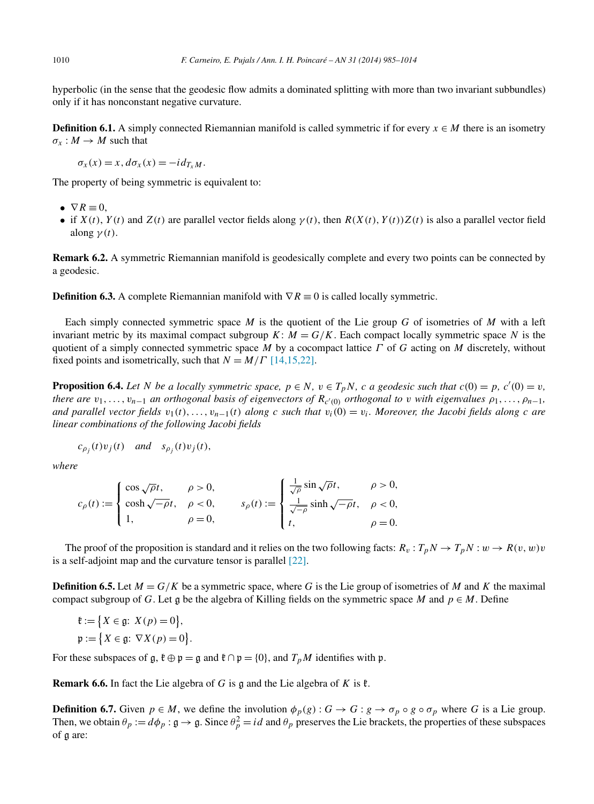hyperbolic (in the sense that the geodesic flow admits a dominated splitting with more than two invariant subbundles) only if it has nonconstant negative curvature.

**Definition 6.1.** A simply connected Riemannian manifold is called symmetric if for every  $x \in M$  there is an isometry  $\sigma_x : M \to M$  such that

 $\sigma_x(x) = x, d\sigma_x(x) = -i d_{T_xM}$ .

The property of being symmetric is equivalent to:

- $\nabla R \equiv 0$ ,
- if  $X(t)$ ,  $Y(t)$  and  $Z(t)$  are parallel vector fields along  $\gamma(t)$ , then  $R(X(t), Y(t))Z(t)$  is also a parallel vector field along  $\nu(t)$ .

**Remark 6.2.** A symmetric Riemannian manifold is geodesically complete and every two points can be connected by a geodesic.

**Definition 6.3.** A complete Riemannian manifold with  $\nabla R \equiv 0$  is called locally symmetric.

Each simply connected symmetric space *M* is the quotient of the Lie group *G* of isometries of *M* with a left invariant metric by its maximal compact subgroup  $K: M = G/K$ . Each compact locally symmetric space N is the quotient of a simply connected symmetric space *M* by a cocompact lattice *Γ* of *G* acting on *M* discretely, without fixed points and isometrically, such that  $N = M/\Gamma$  [\[14,15,22\].](#page-28-0)

**Proposition 6.4.** Let N be a locally symmetric space,  $p \in N$ ,  $v \in T_pN$ , c a geodesic such that  $c(0) = p$ ,  $c'(0) = v$ , *there are*  $v_1, \ldots, v_{n-1}$  *an orthogonal basis of eigenvectors of*  $R_{c'(0)}$  *orthogonal to v with eigenvalues*  $\rho_1, \ldots, \rho_{n-1}$ *, and parallel vector fields*  $v_1(t), \ldots, v_{n-1}(t)$  *along c* such that  $v_i(0) = v_i$ . Moreover, the Jacobi fields along *c* are *linear combinations of the following Jacobi fields*

$$
c_{\rho_j}(t)v_j(t) \quad and \quad s_{\rho_j}(t)v_j(t),
$$

*where*

$$
c_{\rho}(t):=\left\{\begin{aligned} &\cos \sqrt{\rho}t,&\rho>0,\\ &\cosh \sqrt{-\rho}t,&\rho<0,\\ &1,&\rho=0, \end{aligned}\right.\qquad s_{\rho}(t):=\left\{\begin{aligned} &\frac{1}{\sqrt{\rho}}\sin \sqrt{\rho}t,&\rho>0,\\ &\frac{1}{\sqrt{-\rho}}\sinh \sqrt{-\rho}t,&\rho<0,\\ &t,&\rho=0. \end{aligned}\right.
$$

The proof of the proposition is standard and it relies on the two following facts:  $R_v : T_pN \to T_pN : w \to R(v, w)v$ is a self-adjoint map and the curvature tensor is parallel [\[22\].](#page-28-0)

**Definition 6.5.** Let  $M = G/K$  be a symmetric space, where G is the Lie group of isometries of M and K the maximal compact subgroup of *G*. Let g be the algebra of Killing fields on the symmetric space *M* and  $p \in M$ . Define

$$
\mathfrak{k} := \{ X \in \mathfrak{g}: X(p) = 0 \},
$$
  

$$
\mathfrak{p} := \{ X \in \mathfrak{g}: \nabla X(p) = 0 \}
$$

For these subspaces of  $\mathfrak{g}$ ,  $\mathfrak{k} \oplus \mathfrak{p} = \mathfrak{g}$  and  $\mathfrak{k} \cap \mathfrak{p} = \{0\}$ , and  $T_pM$  identifies with  $\mathfrak{p}$ .

**Remark 6.6.** In fact the Lie algebra of *G* is g and the Lie algebra of *K* is k.

*.*

**Definition 6.7.** Given  $p \in M$ , we define the involution  $\phi_p(g) : G \to G : g \to \sigma_p \circ g \circ \sigma_p$  where *G* is a Lie group. Then, we obtain  $\theta_p := d\phi_p : \mathfrak{g} \to \mathfrak{g}$ . Since  $\theta_p^2 = id$  and  $\theta_p$  preserves the Lie brackets, the properties of these subspaces of g are: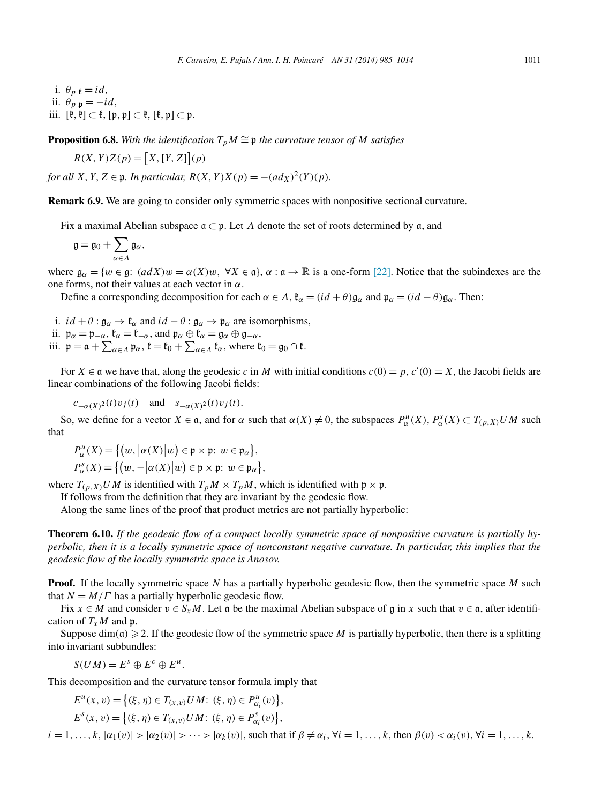<span id="page-26-0"></span>i.  $\theta_{p|\xi} = id$ , ii.  $\dot{\theta_p}|_{\mathfrak{p}} = -id$ , iii.  $[\mathfrak{k}, \mathfrak{k}] \subset \mathfrak{k}, [\mathfrak{p}, \mathfrak{p}] \subset \mathfrak{k}, [\mathfrak{k}, \mathfrak{p}] \subset \mathfrak{p}.$ 

**Proposition 6.8.** With the identification  $T_pM \cong \mathfrak{p}$  the curvature tensor of M satisfies

$$
R(X, Y)Z(p) = [X, [Y, Z]](p)
$$

*for all*  $X, Y, Z \in \mathfrak{p}$ *. In particular,*  $R(X, Y)X(p) = -(ad_X)^2(Y)(p)$ *.* 

**Remark 6.9.** We are going to consider only symmetric spaces with nonpositive sectional curvature.

Fix a maximal Abelian subspace  $\alpha \subset p$ . Let  $\Lambda$  denote the set of roots determined by  $\alpha$ , and

$$
\mathfrak{g}=\mathfrak{g}_0+\sum_{\alpha\in\varLambda}\mathfrak{g}_{\alpha},
$$

where  $\mathfrak{g}_{\alpha} = \{w \in \mathfrak{g}: (adX)w = \alpha(X)w, \forall X \in \mathfrak{a}\}, \alpha : \mathfrak{a} \to \mathbb{R}$  is a one-form [\[22\].](#page-28-0) Notice that the subindexes are the one forms, not their values at each vector in *α*.

Define a corresponding decomposition for each *α* ∈ *Λ*,  $\mathfrak{k}_{\alpha}$  =  $(id + \theta)$   $\mathfrak{g}_{\alpha}$  and  $\mathfrak{p}_{\alpha}$  =  $(id - \theta)$   $\mathfrak{g}_{\alpha}$ . Then:

i.  $id + \theta : \mathfrak{g}_{\alpha} \to \mathfrak{k}_{\alpha}$  and  $id - \theta : \mathfrak{g}_{\alpha} \to \mathfrak{p}_{\alpha}$  are isomorphisms, ii.  $\mathfrak{p}_{\alpha} = \mathfrak{p}_{-\alpha}, \mathfrak{k}_{\alpha} = \mathfrak{k}_{-\alpha}, \text{ and } \mathfrak{p}_{\alpha} \oplus \mathfrak{k}_{\alpha} = \mathfrak{g}_{\alpha} \oplus \mathfrak{g}_{-\alpha},$ iii.  $\mathfrak{p} = \mathfrak{a} + \sum_{\alpha \in \Lambda} \mathfrak{p}_{\alpha}, \mathfrak{k} = \mathfrak{k}_0 + \sum_{\alpha \in \Lambda} \mathfrak{k}_{\alpha}, \text{ where } \mathfrak{k}_0 = \mathfrak{g}_0 \cap \mathfrak{k}.$ 

For  $X \in \mathfrak{a}$  we have that, along the geodesic *c* in *M* with initial conditions  $c(0) = p$ ,  $c'(0) = X$ , the Jacobi fields are linear combinations of the following Jacobi fields:

$$
c_{-\alpha(X)^2}(t)v_j(t) \quad \text{and} \quad s_{-\alpha(X)^2}(t)v_j(t).
$$

So, we define for a vector  $X \in \mathfrak{a}$ , and for  $\alpha$  such that  $\alpha(X) \neq 0$ , the subspaces  $P^u_{\alpha}(X), P^s_{\alpha}(X) \subset T_{(p,X)}U M$  such that

$$
P_{\alpha}^{u}(X) = \{ (w, |\alpha(X)|w) \in \mathfrak{p} \times \mathfrak{p}: w \in \mathfrak{p}_{\alpha} \},
$$
  

$$
P_{\alpha}^{s}(X) = \{ (w, -|\alpha(X)|w) \in \mathfrak{p} \times \mathfrak{p}: w \in \mathfrak{p}_{\alpha} \},
$$

where  $T_{(p,X)}U M$  is identified with  $T_pM \times T_pM$ , which is identified with  $p \times p$ .

If follows from the definition that they are invariant by the geodesic flow.

Along the same lines of the proof that product metrics are not partially hyperbolic:

**Theorem 6.10.** *If the geodesic flow of a compact locally symmetric space of nonpositive curvature is partially hyperbolic, then it is a locally symmetric space of nonconstant negative curvature. In particular, this implies that the geodesic flow of the locally symmetric space is Anosov.*

**Proof.** If the locally symmetric space *N* has a partially hyperbolic geodesic flow, then the symmetric space *M* such that  $N = M/\Gamma$  has a partially hyperbolic geodesic flow.

Fix  $x \in M$  and consider  $v \in S_xM$ . Let a be the maximal Abelian subspace of g in x such that  $v \in \mathfrak{a}$ , after identification of  $T_xM$  and p.

Suppose dim(a)  $\geq$  2. If the geodesic flow of the symmetric space *M* is partially hyperbolic, then there is a splitting into invariant subbundles:

 $S(UM) = E^s \oplus E^c \oplus E^u$ .

This decomposition and the curvature tensor formula imply that

$$
E^{u}(x, v) = \{(\xi, \eta) \in T_{(x, v)}UM: (\xi, \eta) \in P_{\alpha_{i}}^{u}(v)\},
$$
  

$$
E^{s}(x, v) = \{(\xi, \eta) \in T_{(x, v)}UM: (\xi, \eta) \in P_{\alpha_{i}}^{s}(v)\},
$$

 $i = 1, \ldots, k, |\alpha_1(v)| > |\alpha_2(v)| > \cdots > |\alpha_k(v)|$ , such that if  $\beta \neq \alpha_i$ ,  $\forall i = 1, \ldots, k$ , then  $\beta(v) < \alpha_i(v)$ ,  $\forall i = 1, \ldots, k$ .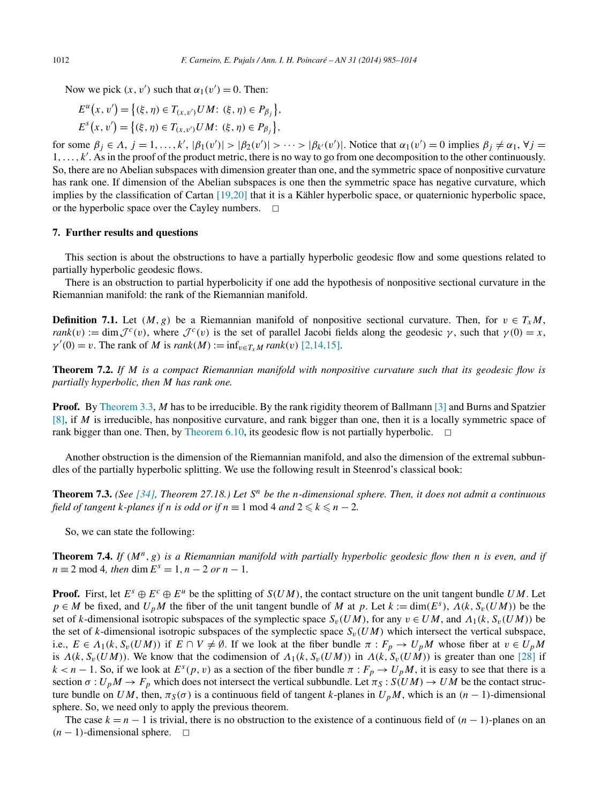Now we pick  $(x, v')$  such that  $\alpha_1(v') = 0$ . Then:

$$
E^{u}(x, v') = \{(\xi, \eta) \in T_{(x, v')} U M: (\xi, \eta) \in P_{\beta_{j}}\},
$$
  

$$
E^{s}(x, v') = \{(\xi, \eta) \in T_{(x, v')} U M: (\xi, \eta) \in P_{\beta_{j}}\},
$$

for some  $\beta_j \in \Lambda$ ,  $j = 1, ..., k'$ ,  $|\beta_1(v')| > |\beta_2(v')| > ... > |\beta_{k'}(v')|$ . Notice that  $\alpha_1(v') = 0$  implies  $\beta_j \neq \alpha_1$ ,  $\forall j =$ 1,..., k'. As in the proof of the product metric, there is no way to go from one decomposition to the other continuously. So, there are no Abelian subspaces with dimension greater than one, and the symmetric space of nonpositive curvature has rank one. If dimension of the Abelian subspaces is one then the symmetric space has negative curvature, which implies by the classification of Cartan [\[19,20\]](#page-28-0) that it is a Kähler hyperbolic space, or quaternionic hyperbolic space, or the hyperbolic space over the Cayley numbers.  $\Box$ 

## **7. Further results and questions**

This section is about the obstructions to have a partially hyperbolic geodesic flow and some questions related to partially hyperbolic geodesic flows.

There is an obstruction to partial hyperbolicity if one add the hypothesis of nonpositive sectional curvature in the Riemannian manifold: the rank of the Riemannian manifold.

**Definition 7.1.** Let  $(M, g)$  be a Riemannian manifold of nonpositive sectional curvature. Then, for  $v \in T_xM$ , *rank*(*v*) := dim  $\mathcal{J}^c(v)$ , where  $\mathcal{J}^c(v)$  is the set of parallel Jacobi fields along the geodesic *γ*, such that  $\gamma(0) = x$ ,  $\gamma'(0) = v$ . The rank of *M* is *rank*(*M*) := inf<sub>*v*∈*T<sub>x</sub>M rank*(*v*) [\[2,14,15\].](#page-28-0)</sub>

**Theorem 7.2.** *If M is a compact Riemannian manifold with nonpositive curvature such that its geodesic flow is partially hyperbolic, then M has rank one.*

**Proof.** By [Theorem](#page-7-0) 3.3, M has to be irreducible. By the rank rigidity theorem of Ballmann [\[3\]](#page-28-0) and Burns and Spatzier [\[8\],](#page-28-0) if *M* is irreducible, has nonpositive curvature, and rank bigger than one, then it is a locally symmetric space of rank bigger than one. Then, by [Theorem 6.10,](#page-26-0) its geodesic flow is not partially hyperbolic.  $\Box$ 

Another obstruction is the dimension of the Riemannian manifold, and also the dimension of the extremal subbundles of the partially hyperbolic splitting. We use the following result in Steenrod's classical book:

**Theorem 7.3.** *(See [\[34\],](#page-29-0) Theorem 27.18.) Let S<sup>n</sup> be the n-dimensional sphere. Then, it does not admit a continuous field of tangent k-planes if n is odd or if*  $n \equiv 1 \text{ mod } 4$  *and*  $2 \leq k \leq n - 2$ *.* 

So, we can state the following:

**Theorem 7.4.** *If (Mn,g) is a Riemannian manifold with partially hyperbolic geodesic flow then n is even, and if*  $n \equiv 2 \mod 4$ , then dim  $E^s = 1$ ,  $n - 2$  or  $n - 1$ .

**Proof.** First, let  $E^s \oplus E^c \oplus E^u$  be the splitting of  $S(UM)$ , the contact structure on the unit tangent bundle *UM*. Let  $p \in M$  be fixed, and  $U_pM$  the fiber of the unit tangent bundle of *M* at  $p$ . Let  $k := \dim(E^s)$ ,  $\Lambda(k, S_v(UM))$  be the set of *k*-dimensional isotropic subspaces of the symplectic space  $S_v(UM)$ , for any  $v \in UM$ , and  $\Lambda_1(k, S_v(UM))$  be the set of *k*-dimensional isotropic subspaces of the symplectic space  $S_v(UM)$  which intersect the vertical subspace, i.e.,  $E \in A_1(k, S_v(UM))$  if  $E \cap V \neq \emptyset$ . If we look at the fiber bundle  $\pi : F_p \to U_pM$  whose fiber at  $v \in U_pM$ is  $\Lambda(k, S_v(UM))$ . We know that the codimension of  $\Lambda_1(k, S_v(UM))$  in  $\Lambda(k, S_v(UM))$  is greater than one [\[28\]](#page-29-0) if  $k < n - 1$ . So, if we look at  $E^{s}(p, v)$  as a section of the fiber bundle  $\pi : F_p \to U_pM$ , it is easy to see that there is a section  $\sigma: U_pM \to F_p$  which does not intersect the vertical subbundle. Let  $\pi_S: S(UM) \to UM$  be the contact structure bundle on *UM*, then,  $\pi_S(\sigma)$  is a continuous field of tangent *k*-planes in  $U_pM$ , which is an  $(n-1)$ -dimensional sphere. So, we need only to apply the previous theorem.

The case  $k = n - 1$  is trivial, there is no obstruction to the existence of a continuous field of  $(n - 1)$ -planes on an  $(n-1)$ -dimensional sphere.  $□$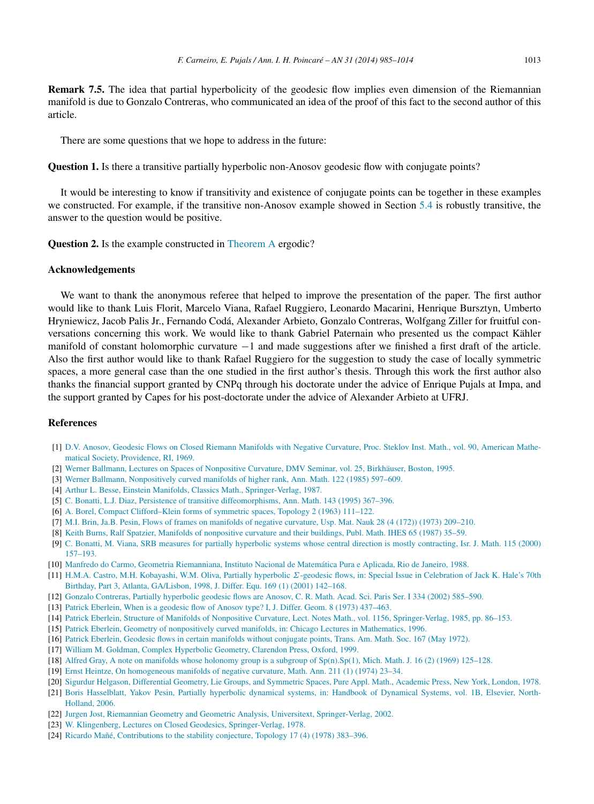<span id="page-28-0"></span>**Remark 7.5.** The idea that partial hyperbolicity of the geodesic flow implies even dimension of the Riemannian manifold is due to Gonzalo Contreras, who communicated an idea of the proof of this fact to the second author of this article.

There are some questions that we hope to address in the future:

**Question 1.** Is there a transitive partially hyperbolic non-Anosov geodesic flow with conjugate points?

It would be interesting to know if transitivity and existence of conjugate points can be together in these examples we constructed. For example, if the transitive non-Anosov example showed in Section [5.4](#page-24-0) is robustly transitive, the answer to the question would be positive.

**Question 2.** Is the example constructed in [Theorem A](#page-1-0) ergodic?

## **Acknowledgements**

We want to thank the anonymous referee that helped to improve the presentation of the paper. The first author would like to thank Luis Florit, Marcelo Viana, Rafael Ruggiero, Leonardo Macarini, Henrique Bursztyn, Umberto Hryniewicz, Jacob Palis Jr., Fernando Codá, Alexander Arbieto, Gonzalo Contreras, Wolfgang Ziller for fruitful conversations concerning this work. We would like to thank Gabriel Paternain who presented us the compact Kähler manifold of constant holomorphic curvature −1 and made suggestions after we finished a first draft of the article. Also the first author would like to thank Rafael Ruggiero for the suggestion to study the case of locally symmetric spaces, a more general case than the one studied in the first author's thesis. Through this work the first author also thanks the financial support granted by CNPq through his doctorate under the advice of Enrique Pujals at Impa, and the support granted by Capes for his post-doctorate under the advice of Alexander Arbieto at UFRJ.

# **References**

- [1] [D.V. Anosov, Geodesic Flows on Closed Riemann Manifolds with Negative Curvature, Proc. Steklov Inst. Math., vol. 90, American Mathe](http://refhub.elsevier.com/S0294-1449(13)00095-4/bib416Es1)[matical Society, Providence, RI, 1969.](http://refhub.elsevier.com/S0294-1449(13)00095-4/bib416Es1)
- [2] [Werner Ballmann, Lectures on Spaces of Nonpositive Curvature, DMV Seminar, vol. 25, Birkhäuser, Boston, 1995.](http://refhub.elsevier.com/S0294-1449(13)00095-4/bib426131s1)
- [3] [Werner Ballmann, Nonpositively curved manifolds of higher rank, Ann. Math. 122 \(1985\) 597–609.](http://refhub.elsevier.com/S0294-1449(13)00095-4/bib426132s1)
- [4] Arthur [L. Besse, Einstein Manifolds, Classics Math., Springer-Verlag, 1987.](http://refhub.elsevier.com/S0294-1449(13)00095-4/bib4265s1)
- [5] C. [Bonatti, L.J. Diaz, Persistence of transitive diffeomorphisms, Ann. Math. 143 \(1995\) 367–396.](http://refhub.elsevier.com/S0294-1449(13)00095-4/bib4244s1)
- [6] A. [Borel, Compact Clifford–Klein forms of symmetric spaces, Topology 2 \(1963\) 111–122.](http://refhub.elsevier.com/S0294-1449(13)00095-4/bib426Fs1)
- [7] M.I. [Brin, Ja.B. Pesin, Flows of frames on manifolds of negative curvature, Usp. Mat. Nauk 28 \(4 \(172\)\) \(1973\) 209–210.](http://refhub.elsevier.com/S0294-1449(13)00095-4/bib4250s1)
- [8] [Keith Burns, Ralf Spatzier, Manifolds of nonpositive curvature and their buildings, Publ. Math. IHES 65 \(1987\) 35–59.](http://refhub.elsevier.com/S0294-1449(13)00095-4/bib4253s1)
- [9] C. [Bonatti, M. Viana, SRB measures for partially hyperbolic systems whose central direction is mostly contracting, Isr. J. Math. 115 \(2000\)](http://refhub.elsevier.com/S0294-1449(13)00095-4/bib4256s1) [157–193.](http://refhub.elsevier.com/S0294-1449(13)00095-4/bib4256s1)
- [10] Manfredo [do Carmo, Geometria Riemanniana, Instituto Nacional de Matemática Pura e Aplicada, Rio de Janeiro, 1988.](http://refhub.elsevier.com/S0294-1449(13)00095-4/bib4361s1)
- [11] H.M.A. Castro, M.H. Kobayashi, W.M. Oliva, Partially hyperbolic *Σ*[-geodesic flows, in: Special Issue in Celebration of Jack K. Hale's 70th](http://refhub.elsevier.com/S0294-1449(13)00095-4/bib434B4Fs1) [Birthday, Part 3, Atlanta, GA/Lisbon, 1998, J. Differ. Equ. 169 \(1\) \(2001\) 142–168.](http://refhub.elsevier.com/S0294-1449(13)00095-4/bib434B4Fs1)
- [12] Gonzalo [Contreras, Partially hyperbolic geodesic flows are Anosov, C. R. Math. Acad. Sci. Paris Ser. I 334 \(2002\) 585–590.](http://refhub.elsevier.com/S0294-1449(13)00095-4/bib436F31s1)
- [13] [Patrick Eberlein, When is a geodesic flow of Anosov type? I, J. Differ. Geom. 8 \(1973\) 437–463.](http://refhub.elsevier.com/S0294-1449(13)00095-4/bib4531s1)
- [14] [Patrick Eberlein, Structure of Manifolds of Nonpositive Curvature, Lect. Notes Math., vol. 1156, Springer-Verlag, 1985, pp. 86–153.](http://refhub.elsevier.com/S0294-1449(13)00095-4/bib4532s1)
- [15] [Patrick Eberlein, Geometry of nonpositively curved manifolds, in: Chicago Lectures in Mathematics, 1996.](http://refhub.elsevier.com/S0294-1449(13)00095-4/bib4533s1)
- [16] [Patrick Eberlein, Geodesic flows in certain manifolds without conjugate points, Trans. Am. Math. Soc. 167 \(May 1972\).](http://refhub.elsevier.com/S0294-1449(13)00095-4/bib4534s1)
- [17] [William M. Goldman, Complex Hyperbolic Geometry, Clarendon Press, Oxford, 1999.](http://refhub.elsevier.com/S0294-1449(13)00095-4/bib47s1)
- [18] Alfred [Gray, A note on manifolds whose holonomy group is a subgroup of Sp\(n\).Sp\(1\), Mich. Math. J. 16 \(2\) \(1969\) 125–128.](http://refhub.elsevier.com/S0294-1449(13)00095-4/bib4772s1)
- [19] Ernst [Heintze, On homogeneous manifolds of negative curvature, Math. Ann. 211 \(1\) \(1974\) 23–34.](http://refhub.elsevier.com/S0294-1449(13)00095-4/bib4865s1)
- [20] Sigurdur [Helgason, Differential Geometry, Lie Groups, and Symmetric Spaces, Pure Appl. Math., Academic Press, New York, London, 1978.](http://refhub.elsevier.com/S0294-1449(13)00095-4/bib48656Cs1)
- [21] Boris [Hasselblatt, Yakov Pesin, Partially hyperbolic dynamical systems, in: Handbook of Dynamical Systems, vol. 1B, Elsevier, North-](http://refhub.elsevier.com/S0294-1449(13)00095-4/bib4850s1)[Holland, 2006.](http://refhub.elsevier.com/S0294-1449(13)00095-4/bib4850s1)
- [22] [Jurgen Jost, Riemannian Geometry and Geometric Analysis, Universitext, Springer-Verlag, 2002.](http://refhub.elsevier.com/S0294-1449(13)00095-4/bib4As1)
- [23] [W. Klingenberg, Lectures on Closed Geodesics, Springer-Verlag, 1978.](http://refhub.elsevier.com/S0294-1449(13)00095-4/bib4B6Cs1)
- [24] Ricardo [Mañé, Contributions to the stability conjecture, Topology 17 \(4\) \(1978\) 383–396.](http://refhub.elsevier.com/S0294-1449(13)00095-4/bib4Ds1)